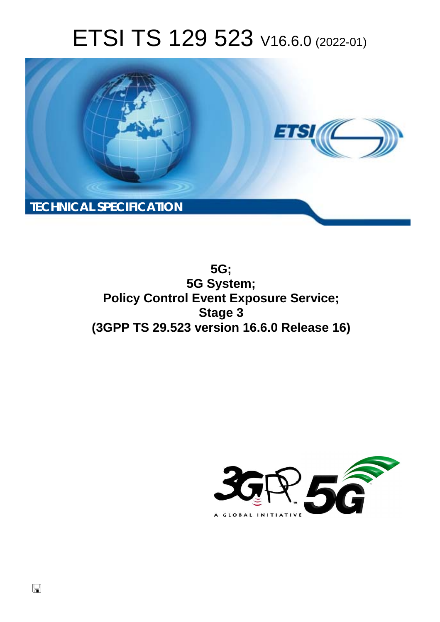# ETSI TS 129 523 V16.6.0 (2022-01)



**5G; 5G System; Policy Control Event Exposure Service; Stage 3 (3GPP TS 29.523 version 16.6.0 Release 16)** 

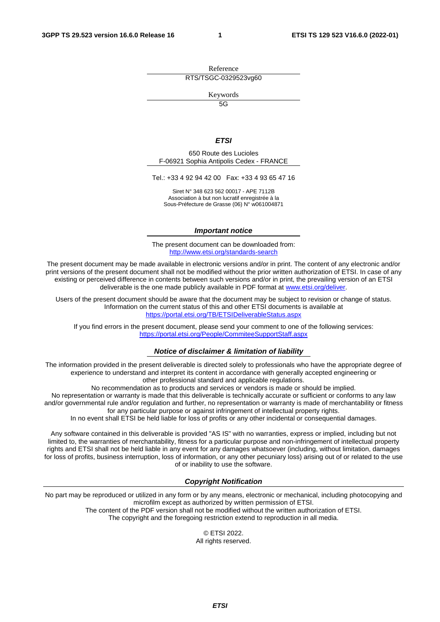Reference RTS/TSGC-0329523vg60

Keywords

 $\overline{5G}$ 

#### *ETSI*

650 Route des Lucioles F-06921 Sophia Antipolis Cedex - FRANCE

Tel.: +33 4 92 94 42 00 Fax: +33 4 93 65 47 16

Siret N° 348 623 562 00017 - APE 7112B Association à but non lucratif enregistrée à la Sous-Préfecture de Grasse (06) N° w061004871

#### *Important notice*

The present document can be downloaded from: <http://www.etsi.org/standards-search>

The present document may be made available in electronic versions and/or in print. The content of any electronic and/or print versions of the present document shall not be modified without the prior written authorization of ETSI. In case of any existing or perceived difference in contents between such versions and/or in print, the prevailing version of an ETSI deliverable is the one made publicly available in PDF format at [www.etsi.org/deliver](http://www.etsi.org/deliver).

Users of the present document should be aware that the document may be subject to revision or change of status. Information on the current status of this and other ETSI documents is available at <https://portal.etsi.org/TB/ETSIDeliverableStatus.aspx>

If you find errors in the present document, please send your comment to one of the following services: <https://portal.etsi.org/People/CommiteeSupportStaff.aspx>

#### *Notice of disclaimer & limitation of liability*

The information provided in the present deliverable is directed solely to professionals who have the appropriate degree of experience to understand and interpret its content in accordance with generally accepted engineering or other professional standard and applicable regulations.

No recommendation as to products and services or vendors is made or should be implied.

No representation or warranty is made that this deliverable is technically accurate or sufficient or conforms to any law and/or governmental rule and/or regulation and further, no representation or warranty is made of merchantability or fitness for any particular purpose or against infringement of intellectual property rights.

In no event shall ETSI be held liable for loss of profits or any other incidental or consequential damages.

Any software contained in this deliverable is provided "AS IS" with no warranties, express or implied, including but not limited to, the warranties of merchantability, fitness for a particular purpose and non-infringement of intellectual property rights and ETSI shall not be held liable in any event for any damages whatsoever (including, without limitation, damages for loss of profits, business interruption, loss of information, or any other pecuniary loss) arising out of or related to the use of or inability to use the software.

#### *Copyright Notification*

No part may be reproduced or utilized in any form or by any means, electronic or mechanical, including photocopying and microfilm except as authorized by written permission of ETSI. The content of the PDF version shall not be modified without the written authorization of ETSI.

The copyright and the foregoing restriction extend to reproduction in all media.

© ETSI 2022. All rights reserved.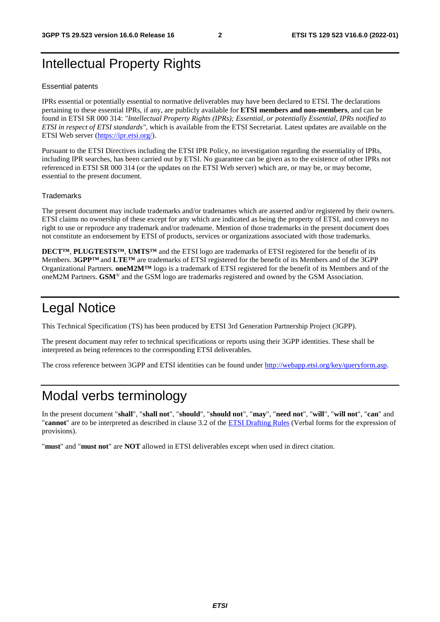# Intellectual Property Rights

#### Essential patents

IPRs essential or potentially essential to normative deliverables may have been declared to ETSI. The declarations pertaining to these essential IPRs, if any, are publicly available for **ETSI members and non-members**, and can be found in ETSI SR 000 314: *"Intellectual Property Rights (IPRs); Essential, or potentially Essential, IPRs notified to ETSI in respect of ETSI standards"*, which is available from the ETSI Secretariat. Latest updates are available on the ETSI Web server ([https://ipr.etsi.org/\)](https://ipr.etsi.org/).

Pursuant to the ETSI Directives including the ETSI IPR Policy, no investigation regarding the essentiality of IPRs, including IPR searches, has been carried out by ETSI. No guarantee can be given as to the existence of other IPRs not referenced in ETSI SR 000 314 (or the updates on the ETSI Web server) which are, or may be, or may become, essential to the present document.

#### **Trademarks**

The present document may include trademarks and/or tradenames which are asserted and/or registered by their owners. ETSI claims no ownership of these except for any which are indicated as being the property of ETSI, and conveys no right to use or reproduce any trademark and/or tradename. Mention of those trademarks in the present document does not constitute an endorsement by ETSI of products, services or organizations associated with those trademarks.

**DECT™**, **PLUGTESTS™**, **UMTS™** and the ETSI logo are trademarks of ETSI registered for the benefit of its Members. **3GPP™** and **LTE™** are trademarks of ETSI registered for the benefit of its Members and of the 3GPP Organizational Partners. **oneM2M™** logo is a trademark of ETSI registered for the benefit of its Members and of the oneM2M Partners. **GSM**® and the GSM logo are trademarks registered and owned by the GSM Association.

# Legal Notice

This Technical Specification (TS) has been produced by ETSI 3rd Generation Partnership Project (3GPP).

The present document may refer to technical specifications or reports using their 3GPP identities. These shall be interpreted as being references to the corresponding ETSI deliverables.

The cross reference between 3GPP and ETSI identities can be found under<http://webapp.etsi.org/key/queryform.asp>.

# Modal verbs terminology

In the present document "**shall**", "**shall not**", "**should**", "**should not**", "**may**", "**need not**", "**will**", "**will not**", "**can**" and "**cannot**" are to be interpreted as described in clause 3.2 of the [ETSI Drafting Rules](https://portal.etsi.org/Services/editHelp!/Howtostart/ETSIDraftingRules.aspx) (Verbal forms for the expression of provisions).

"**must**" and "**must not**" are **NOT** allowed in ETSI deliverables except when used in direct citation.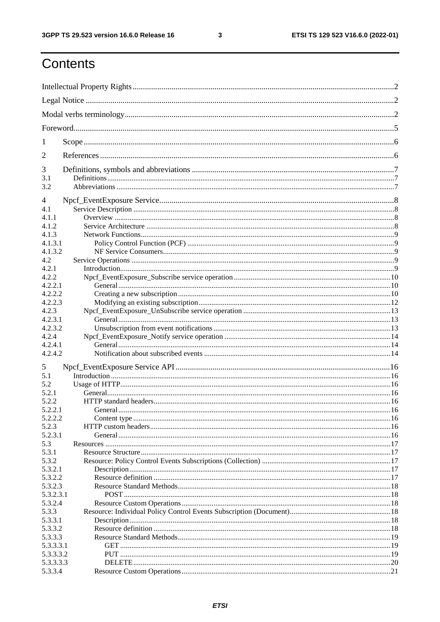$\mathbf{3}$ 

# Contents

| 1          |         |  |
|------------|---------|--|
| 2          |         |  |
| 3          |         |  |
| 3.1<br>3.2 |         |  |
| 4          |         |  |
| 4.1        |         |  |
| 4.1.1      |         |  |
| 4.1.2      |         |  |
| 4.1.3      |         |  |
| 4.1.3.1    |         |  |
| 4.1.3.2    |         |  |
| 4.2        |         |  |
| 4.2.1      |         |  |
| 4.2.2      |         |  |
| 4.2.2.1    |         |  |
| 4.2.2.2    |         |  |
|            |         |  |
| 4.2.2.3    |         |  |
| 4.2.3      |         |  |
| 4.2.3.1    |         |  |
| 4.2.3.2    |         |  |
| 4.2.4      |         |  |
| 4.2.4.1    |         |  |
| 4.2.4.2    |         |  |
| 5          |         |  |
| 5.1        |         |  |
| 5.2        |         |  |
| 5.2.1      |         |  |
| 5.2.2      |         |  |
| 5.2.2.1    | General |  |
| 5.2.2.2    |         |  |
| 5.2.3      |         |  |
| 5.2.3.1    |         |  |
| 5.3        |         |  |
| 5.3.1      |         |  |
| 5.3.2      |         |  |
| 5.3.2.1    |         |  |
| 5.3.2.2    |         |  |
|            |         |  |
| 5.3.2.3    |         |  |
| 5.3.2.3.1  |         |  |
| 5.3.2.4    |         |  |
| 5.3.3      |         |  |
| 5.3.3.1    |         |  |
| 5.3.3.2    |         |  |
| 5.3.3.3    |         |  |
| 5.3.3.3.1  |         |  |
| 5.3.3.3.2  |         |  |
| 5.3.3.3.3  |         |  |
| 5.3.3.4    |         |  |
|            |         |  |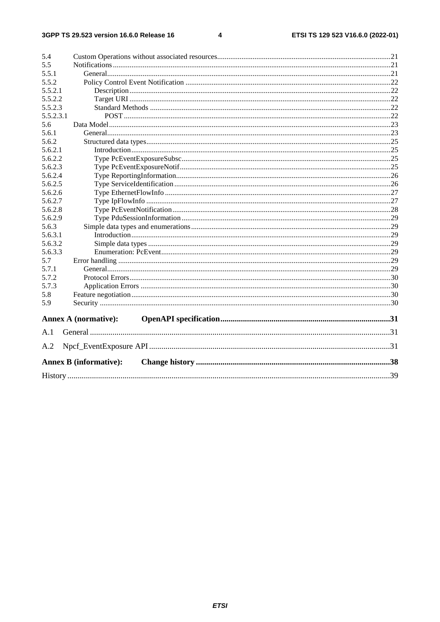#### $\overline{\mathbf{4}}$

| 5.4       |                               |  |  |  |  |  |  |
|-----------|-------------------------------|--|--|--|--|--|--|
| 5.5       |                               |  |  |  |  |  |  |
| 5.5.1     |                               |  |  |  |  |  |  |
| 5.5.2     |                               |  |  |  |  |  |  |
| 5.5.2.1   |                               |  |  |  |  |  |  |
| 5.5.2.2   |                               |  |  |  |  |  |  |
| 5.5.2.3   |                               |  |  |  |  |  |  |
| 5.5.2.3.1 |                               |  |  |  |  |  |  |
| 5.6       |                               |  |  |  |  |  |  |
| 5.6.1     |                               |  |  |  |  |  |  |
| 5.6.2     |                               |  |  |  |  |  |  |
| 5.6.2.1   |                               |  |  |  |  |  |  |
| 5.6.2.2   |                               |  |  |  |  |  |  |
| 5.6.2.3   |                               |  |  |  |  |  |  |
| 5.6.2.4   |                               |  |  |  |  |  |  |
| 5.6.2.5   |                               |  |  |  |  |  |  |
| 5.6.2.6   |                               |  |  |  |  |  |  |
| 5.6.2.7   |                               |  |  |  |  |  |  |
| 5.6.2.8   |                               |  |  |  |  |  |  |
| 5.6.2.9   |                               |  |  |  |  |  |  |
| 5.6.3     |                               |  |  |  |  |  |  |
| 5.6.3.1   |                               |  |  |  |  |  |  |
| 5.6.3.2   |                               |  |  |  |  |  |  |
| 5.6.3.3   |                               |  |  |  |  |  |  |
| 5.7       |                               |  |  |  |  |  |  |
| 5.7.1     |                               |  |  |  |  |  |  |
| 5.7.2     |                               |  |  |  |  |  |  |
| 5.7.3     |                               |  |  |  |  |  |  |
| 5.8       |                               |  |  |  |  |  |  |
| 5.9       |                               |  |  |  |  |  |  |
|           | Annex A (normative):          |  |  |  |  |  |  |
| A.1       |                               |  |  |  |  |  |  |
| A.2       |                               |  |  |  |  |  |  |
|           |                               |  |  |  |  |  |  |
|           | <b>Annex B (informative):</b> |  |  |  |  |  |  |
|           |                               |  |  |  |  |  |  |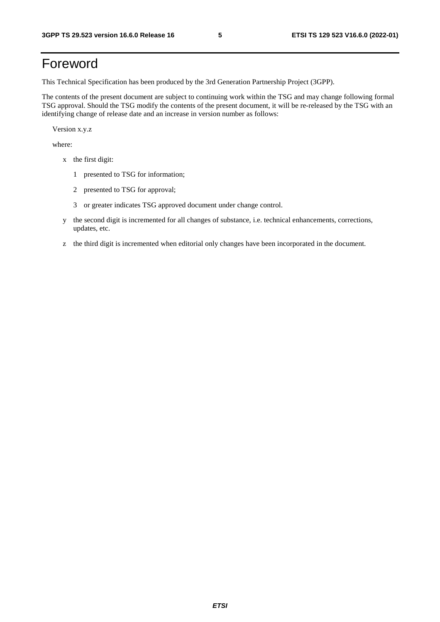# Foreword

This Technical Specification has been produced by the 3rd Generation Partnership Project (3GPP).

The contents of the present document are subject to continuing work within the TSG and may change following formal TSG approval. Should the TSG modify the contents of the present document, it will be re-released by the TSG with an identifying change of release date and an increase in version number as follows:

Version x.y.z

where:

- x the first digit:
	- 1 presented to TSG for information;
	- 2 presented to TSG for approval;
	- 3 or greater indicates TSG approved document under change control.
- y the second digit is incremented for all changes of substance, i.e. technical enhancements, corrections, updates, etc.
- z the third digit is incremented when editorial only changes have been incorporated in the document.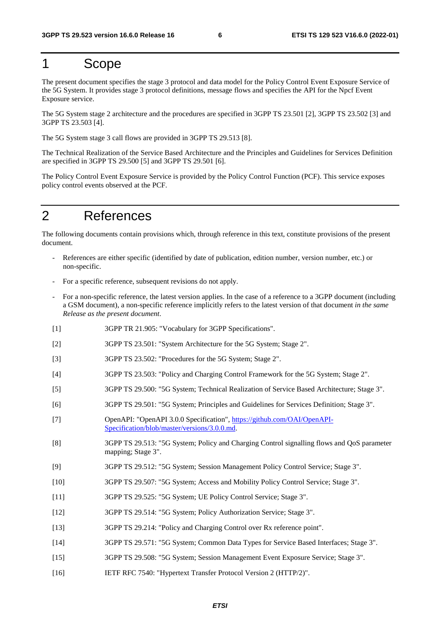# 1 Scope

The present document specifies the stage 3 protocol and data model for the Policy Control Event Exposure Service of the 5G System. It provides stage 3 protocol definitions, message flows and specifies the API for the Npcf Event Exposure service.

The 5G System stage 2 architecture and the procedures are specified in 3GPP TS 23.501 [2], 3GPP TS 23.502 [3] and 3GPP TS 23.503 [4].

The 5G System stage 3 call flows are provided in 3GPP TS 29.513 [8].

The Technical Realization of the Service Based Architecture and the Principles and Guidelines for Services Definition are specified in 3GPP TS 29.500 [5] and 3GPP TS 29.501 [6].

The Policy Control Event Exposure Service is provided by the Policy Control Function (PCF). This service exposes policy control events observed at the PCF.

# 2 References

The following documents contain provisions which, through reference in this text, constitute provisions of the present document.

- References are either specific (identified by date of publication, edition number, version number, etc.) or non-specific.
- For a specific reference, subsequent revisions do not apply.
- For a non-specific reference, the latest version applies. In the case of a reference to a 3GPP document (including a GSM document), a non-specific reference implicitly refers to the latest version of that document *in the same Release as the present document*.
- [1] 3GPP TR 21.905: "Vocabulary for 3GPP Specifications".
- [2] 3GPP TS 23.501: "System Architecture for the 5G System; Stage 2".
- [3] 3GPP TS 23.502: "Procedures for the 5G System; Stage 2".
- [4] 3GPP TS 23.503: "Policy and Charging Control Framework for the 5G System; Stage 2".
- [5] 3GPP TS 29.500: "5G System; Technical Realization of Service Based Architecture; Stage 3".
- [6] 3GPP TS 29.501: "5G System; Principles and Guidelines for Services Definition; Stage 3".
- [7] OpenAPI: "OpenAPI 3.0.0 Specification", [https://github.com/OAI/OpenAPI](https://github.com/OAI/OpenAPI-Specification/blob/master/versions/3.0.0.md)-[Specification/blob/master/versions/3.0.0.md](https://github.com/OAI/OpenAPI-Specification/blob/master/versions/3.0.0.md).
- [8] 3GPP TS 29.513: "5G System; Policy and Charging Control signalling flows and QoS parameter mapping; Stage 3".
- [9] 3GPP TS 29.512: "5G System; Session Management Policy Control Service; Stage 3".
- [10] 3GPP TS 29.507: "5G System; Access and Mobility Policy Control Service; Stage 3".
- [11] 3GPP TS 29.525: "5G System; UE Policy Control Service; Stage 3".
- [12] 3GPP TS 29.514: "5G System; Policy Authorization Service; Stage 3".
- [13] 3GPP TS 29.214: "Policy and Charging Control over Rx reference point".
- [14] 3GPP TS 29.571: "5G System; Common Data Types for Service Based Interfaces; Stage 3".
- [15] 3GPP TS 29.508: "5G System; Session Management Event Exposure Service; Stage 3".
- [16] IETF RFC 7540: "Hypertext Transfer Protocol Version 2 (HTTP/2)".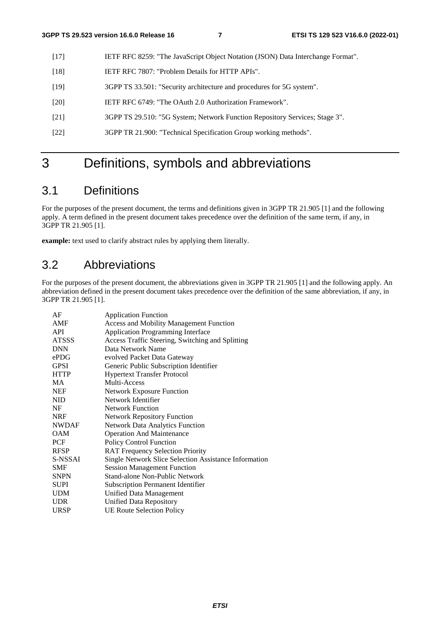- [17] IETF RFC 8259: "The JavaScript Object Notation (JSON) Data Interchange Format".
- [18] IETF RFC 7807: "Problem Details for HTTP APIs".
- [19] 3GPP TS 33.501: "Security architecture and procedures for 5G system".
- [20] IETF RFC 6749: "The OAuth 2.0 Authorization Framework".
- [21] 3GPP TS 29.510: "5G System; Network Function Repository Services; Stage 3".
- [22] 3GPP TR 21.900: "Technical Specification Group working methods".

# 3 Definitions, symbols and abbreviations

# 3.1 Definitions

For the purposes of the present document, the terms and definitions given in 3GPP TR 21.905 [1] and the following apply. A term defined in the present document takes precedence over the definition of the same term, if any, in 3GPP TR 21.905 [1].

**example:** text used to clarify abstract rules by applying them literally.

# 3.2 Abbreviations

For the purposes of the present document, the abbreviations given in 3GPP TR 21.905 [1] and the following apply. An abbreviation defined in the present document takes precedence over the definition of the same abbreviation, if any, in 3GPP TR 21.905 [1].

| AF           | <b>Application Function</b>                           |
|--------------|-------------------------------------------------------|
| AMF          | <b>Access and Mobility Management Function</b>        |
| <b>API</b>   | <b>Application Programming Interface</b>              |
| <b>ATSSS</b> | Access Traffic Steering, Switching and Splitting      |
| <b>DNN</b>   | Data Network Name                                     |
| ePDG         | evolved Packet Data Gateway                           |
| <b>GPSI</b>  | Generic Public Subscription Identifier                |
| <b>HTTP</b>  | <b>Hypertext Transfer Protocol</b>                    |
| MA           | Multi-Access                                          |
| <b>NEF</b>   | <b>Network Exposure Function</b>                      |
| <b>NID</b>   | Network Identifier                                    |
| NF           | <b>Network Function</b>                               |
| <b>NRF</b>   | <b>Network Repository Function</b>                    |
| <b>NWDAF</b> | <b>Network Data Analytics Function</b>                |
| <b>OAM</b>   | <b>Operation And Maintenance</b>                      |
| <b>PCF</b>   | Policy Control Function                               |
| <b>RFSP</b>  | <b>RAT Frequency Selection Priority</b>               |
| S-NSSAI      | Single Network Slice Selection Assistance Information |
| <b>SMF</b>   | <b>Session Management Function</b>                    |
| <b>SNPN</b>  | Stand-alone Non-Public Network                        |
| SUPI         | <b>Subscription Permanent Identifier</b>              |
| <b>UDM</b>   | <b>Unified Data Management</b>                        |
| <b>UDR</b>   | <b>Unified Data Repository</b>                        |
| <b>URSP</b>  | <b>UE Route Selection Policy</b>                      |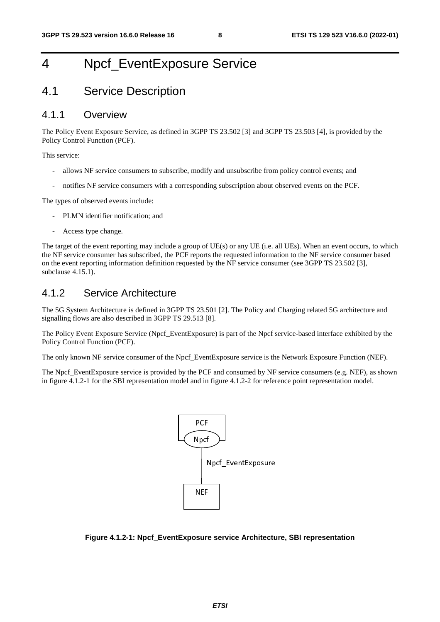# 4 Npcf\_EventExposure Service

# 4.1 Service Description

## 4.1.1 Overview

The Policy Event Exposure Service, as defined in 3GPP TS 23.502 [3] and 3GPP TS 23.503 [4], is provided by the Policy Control Function (PCF).

This service:

- allows NF service consumers to subscribe, modify and unsubscribe from policy control events; and
- notifies NF service consumers with a corresponding subscription about observed events on the PCF.

The types of observed events include:

- PLMN identifier notification; and
- Access type change.

The target of the event reporting may include a group of UE(s) or any UE (i.e. all UEs). When an event occurs, to which the NF service consumer has subscribed, the PCF reports the requested information to the NF service consumer based on the event reporting information definition requested by the NF service consumer (see 3GPP TS 23.502 [3], subclause 4.15.1).

### 4.1.2 Service Architecture

The 5G System Architecture is defined in 3GPP TS 23.501 [2]. The Policy and Charging related 5G architecture and signalling flows are also described in 3GPP TS 29.513 [8].

The Policy Event Exposure Service (Npcf\_EventExposure) is part of the Npcf service-based interface exhibited by the Policy Control Function (PCF).

The only known NF service consumer of the Npcf\_EventExposure service is the Network Exposure Function (NEF).

The Npcf\_EventExposure service is provided by the PCF and consumed by NF service consumers (e.g. NEF), as shown in figure 4.1.2-1 for the SBI representation model and in figure 4.1.2-2 for reference point representation model.



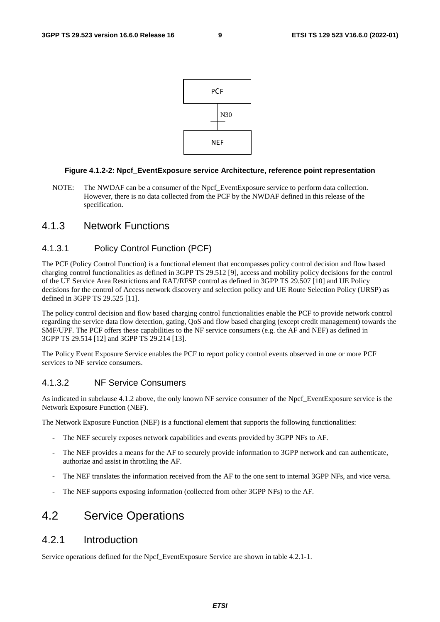

#### **Figure 4.1.2-2: Npcf\_EventExposure service Architecture, reference point representation**

NOTE: The NWDAF can be a consumer of the Npcf\_EventExposure service to perform data collection. However, there is no data collected from the PCF by the NWDAF defined in this release of the specification.

### 4.1.3 Network Functions

#### 4.1.3.1 Policy Control Function (PCF)

The PCF (Policy Control Function) is a functional element that encompasses policy control decision and flow based charging control functionalities as defined in 3GPP TS 29.512 [9], access and mobility policy decisions for the control of the UE Service Area Restrictions and RAT/RFSP control as defined in 3GPP TS 29.507 [10] and UE Policy decisions for the control of Access network discovery and selection policy and UE Route Selection Policy (URSP) as defined in 3GPP TS 29.525 [11].

The policy control decision and flow based charging control functionalities enable the PCF to provide network control regarding the service data flow detection, gating, QoS and flow based charging (except credit management) towards the SMF/UPF. The PCF offers these capabilities to the NF service consumers (e.g. the AF and NEF) as defined in 3GPP TS 29.514 [12] and 3GPP TS 29.214 [13].

The Policy Event Exposure Service enables the PCF to report policy control events observed in one or more PCF services to NF service consumers.

#### 4.1.3.2 NF Service Consumers

As indicated in subclause 4.1.2 above, the only known NF service consumer of the Npcf\_EventExposure service is the Network Exposure Function (NEF).

The Network Exposure Function (NEF) is a functional element that supports the following functionalities:

- The NEF securely exposes network capabilities and events provided by 3GPP NFs to AF.
- The NEF provides a means for the AF to securely provide information to 3GPP network and can authenticate, authorize and assist in throttling the AF.
- The NEF translates the information received from the AF to the one sent to internal 3GPP NFs, and vice versa.
- The NEF supports exposing information (collected from other 3GPP NFs) to the AF.

# 4.2 Service Operations

### 4.2.1 Introduction

Service operations defined for the Npcf. EventExposure Service are shown in table 4.2.1-1.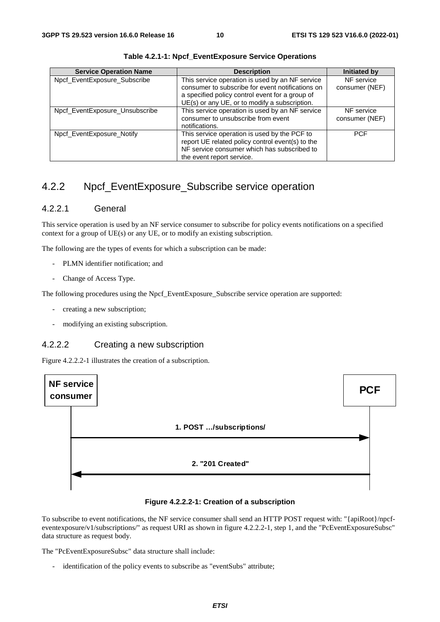| <b>Service Operation Name</b>  | <b>Description</b>                                                                                                                                                                                      | <b>Initiated by</b>          |
|--------------------------------|---------------------------------------------------------------------------------------------------------------------------------------------------------------------------------------------------------|------------------------------|
| Npcf_EventExposure_Subscribe   | This service operation is used by an NF service<br>consumer to subscribe for event notifications on<br>a specified policy control event for a group of<br>UE(s) or any UE, or to modify a subscription. | NF service<br>consumer (NEF) |
| Npcf_EventExposure_Unsubscribe | This service operation is used by an NF service<br>consumer to unsubscribe from event<br>notifications.                                                                                                 | NF service<br>consumer (NEF) |
| Npcf EventExposure Notify      | This service operation is used by the PCF to<br>report UE related policy control event(s) to the<br>NF service consumer which has subscribed to<br>the event report service.                            | <b>PCF</b>                   |

**Table 4.2.1-1: Npcf\_EventExposure Service Operations**

# 4.2.2 Npcf\_EventExposure\_Subscribe service operation

### 4.2.2.1 General

This service operation is used by an NF service consumer to subscribe for policy events notifications on a specified context for a group of UE(s) or any UE, or to modify an existing subscription.

The following are the types of events for which a subscription can be made:

- PLMN identifier notification; and
- Change of Access Type.

The following procedures using the Npcf\_EventExposure\_Subscribe service operation are supported:

- creating a new subscription;
- modifying an existing subscription.

### 4.2.2.2 Creating a new subscription

Figure 4.2.2.2-1 illustrates the creation of a subscription.



**Figure 4.2.2.2-1: Creation of a subscription** 

To subscribe to event notifications, the NF service consumer shall send an HTTP POST request with: "{apiRoot}/npcfeventexposure/v1/subscriptions/" as request URI as shown in figure 4.2.2.2-1, step 1, and the "PcEventExposureSubsc" data structure as request body.

The "PcEventExposureSubsc" data structure shall include:

identification of the policy events to subscribe as "eventSubs" attribute;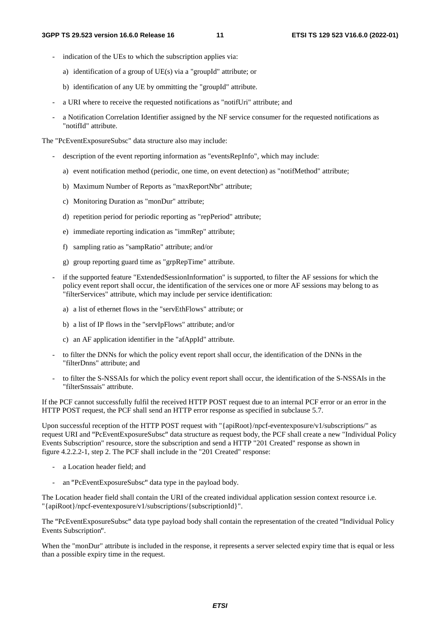- indication of the UEs to which the subscription applies via:
	- a) identification of a group of UE(s) via a "groupId" attribute; or
	- b) identification of any UE by ommitting the "groupId" attribute.
- a URI where to receive the requested notifications as "notifUri" attribute; and
- a Notification Correlation Identifier assigned by the NF service consumer for the requested notifications as "notifId" attribute.

The "PcEventExposureSubsc" data structure also may include:

- description of the event reporting information as "eventsRepInfo", which may include:
	- a) event notification method (periodic, one time, on event detection) as "notifMethod" attribute;
	- b) Maximum Number of Reports as "maxReportNbr" attribute;
	- c) Monitoring Duration as "monDur" attribute;
	- d) repetition period for periodic reporting as "repPeriod" attribute;
	- e) immediate reporting indication as "immRep" attribute;
	- f) sampling ratio as "sampRatio" attribute; and/or
	- g) group reporting guard time as "grpRepTime" attribute.
- if the supported feature "ExtendedSessionInformation" is supported, to filter the AF sessions for which the policy event report shall occur, the identification of the services one or more AF sessions may belong to as "filterServices" attribute, which may include per service identification:
	- a) a list of ethernet flows in the "servEthFlows" attribute; or
	- b) a list of IP flows in the "servIpFlows" attribute; and/or
	- c) an AF application identifier in the "afAppId" attribute.
- to filter the DNNs for which the policy event report shall occur, the identification of the DNNs in the "filterDnns" attribute; and
- to filter the S-NSSAIs for which the policy event report shall occur, the identification of the S-NSSAIs in the "filterSnssais" attribute.

If the PCF cannot successfully fulfil the received HTTP POST request due to an internal PCF error or an error in the HTTP POST request, the PCF shall send an HTTP error response as specified in subclause 5.7.

Upon successful reception of the HTTP POST request with "{apiRoot}/npcf-eventexposure/v1/subscriptions/" as request URI and "PcEventExposureSubsc" data structure as request body, the PCF shall create a new "Individual Policy "PcEventExposureSubsc" data structure as request body, the PCF shall create a new "Individual Policy<br>ion" resource, store the subscription and send a HTTP "201 Created" response as shown in<br>step 2. The PCF shall include in Events Subscription" resource, store the subscription and send a HTTP "201 Created" response as shown in figure 4.2.2.2-1, step 2. The PCF shall include in the "201 Created" response:

- a Location header field; and
- an "PcEventExposureSubsc" data type in the payload body.

- an "PcEventExposureSubsc" data type in the payload body.<br>The Location header field shall contain the URI of the created individual application session context resource i.e. "{apiRoot}/npcf-eventexposure/v1/subscriptions/{subscriptionId}".

The "PcEventExposureSubsc" data type payload body shall contain the representation of the created "Individual Policy Events Subscription

Events Subscription".<br>When the "monDur" attribute is included in the response, it represents a server selected expiry time that is equal or less than a possible expiry time in the request.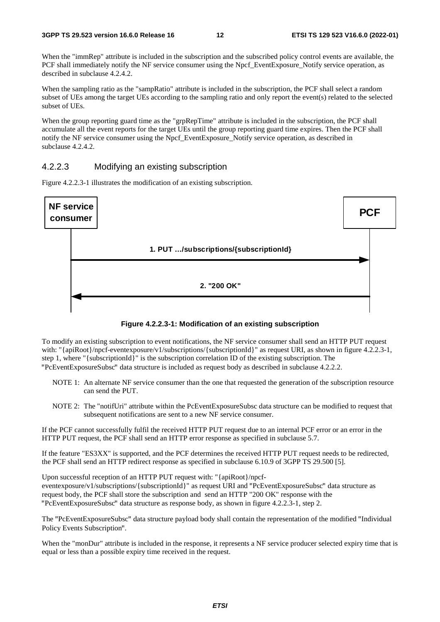When the "immRep" attribute is included in the subscription and the subscribed policy control events are available, the PCF shall immediately notify the NF service consumer using the Npcf\_EventExposure\_Notify service operation, as described in subclause 4.2.4.2.

When the sampling ratio as the "sampRatio" attribute is included in the subscription, the PCF shall select a random subset of UEs among the target UEs according to the sampling ratio and only report the event(s) related to the selected subset of UEs.

When the group reporting guard time as the "grpRepTime" attribute is included in the subscription, the PCF shall accumulate all the event reports for the target UEs until the group reporting guard time expires. Then the PCF shall notify the NF service consumer using the Npcf\_EventExposure\_Notify service operation, as described in subclause 4.2.4.2.

#### 4.2.2.3 Modifying an existing subscription

Figure 4.2.2.3-1 illustrates the modification of an existing subscription.





To modify an existing subscription to event notifications, the NF service consumer shall send an HTTP PUT request with: "{apiRoot}/npcf-eventexposure/v1/subscriptions/{subscriptionId}" as request URI, as shown in figure 4.2.2.3-1, step 1, where "{subscriptionId}" is the subscription correlation ID of the existing subscription. The

- "PcEventExposureSubsc" data structure is included as request body as described in subclause 4.2.2.2. NOTE 1: An alternate NF service consumer than the one that requested the generation of the subscription resource can send the PUT.
	- NOTE 2: The "notifUri" attribute within the PcEventExposureSubsc data structure can be modified to request that subsequent notifications are sent to a new NF service consumer.

If the PCF cannot successfully fulfil the received HTTP PUT request due to an internal PCF error or an error in the HTTP PUT request, the PCF shall send an HTTP error response as specified in subclause 5.7.

If the feature "ES3XX" is supported, and the PCF determines the received HTTP PUT request needs to be redirected, the PCF shall send an HTTP redirect response as specified in subclause 6.10.9 of 3GPP TS 29.500 [5].

Upon successful reception of an HTTP PUT request with: "{apiRoot}/npcfeventexposure/v1/subscriptions/{subscriptionId}" as request URI and "PcEventExposureSubsc" data structure as request body, the PCF shall store the subscription and send an HTTP "200 OK" response with the "PcEventExposureSu request body, the PCF shall store the subscription and send an HTTP "200 OK" response with the

"PcEventExposureSubsc" data structure as response body, as shown in figure 4.2.2.3-1, step 2. The "PcEventExposureSubsc" data structure payload body shall contain the representation of the modified "Individual Policy Events Subscription".

Policy Events Subscription".<br>When the "monDur" attribute is included in the response, it represents a NF service producer selected expiry time that is equal or less than a possible expiry time received in the request.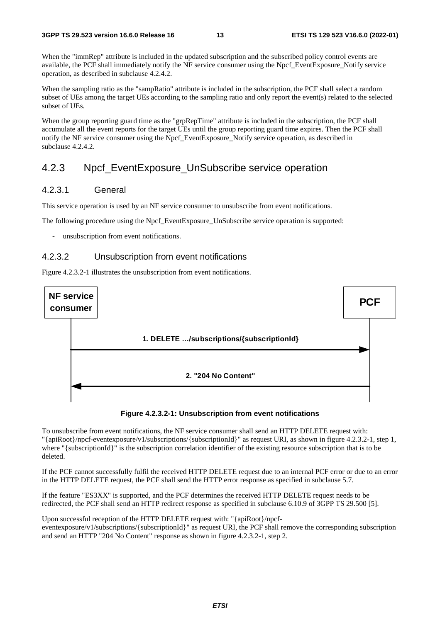When the "immRep" attribute is included in the updated subscription and the subscribed policy control events are available, the PCF shall immediately notify the NF service consumer using the Npcf\_EventExposure\_Notify service operation, as described in subclause 4.2.4.2.

When the sampling ratio as the "sampRatio" attribute is included in the subscription, the PCF shall select a random subset of UEs among the target UEs according to the sampling ratio and only report the event(s) related to the selected subset of UEs.

When the group reporting guard time as the "grpRepTime" attribute is included in the subscription, the PCF shall accumulate all the event reports for the target UEs until the group reporting guard time expires. Then the PCF shall notify the NF service consumer using the Npcf\_EventExposure\_Notify service operation, as described in subclause 4.2.4.2.

## 4.2.3 Npcf\_EventExposure\_UnSubscribe service operation

#### 4.2.3.1 General

This service operation is used by an NF service consumer to unsubscribe from event notifications.

The following procedure using the Npcf. EventExposure. UnSubscribe service operation is supported:

unsubscription from event notifications.

#### 4.2.3.2 Unsubscription from event notifications

Figure 4.2.3.2-1 illustrates the unsubscription from event notifications.



#### **Figure 4.2.3.2-1: Unsubscription from event notifications**

To unsubscribe from event notifications, the NF service consumer shall send an HTTP DELETE request with: "{apiRoot}/npcf-eventexposure/v1/subscriptions/{subscriptionId}" as request URI, as shown in figure 4.2.3.2-1, step 1, where "{subscriptionId}" is the subscription correlation identifier of the existing resource subscription that is to be deleted.

If the PCF cannot successfully fulfil the received HTTP DELETE request due to an internal PCF error or due to an error in the HTTP DELETE request, the PCF shall send the HTTP error response as specified in subclause 5.7.

If the feature "ES3XX" is supported, and the PCF determines the received HTTP DELETE request needs to be redirected, the PCF shall send an HTTP redirect response as specified in subclause 6.10.9 of 3GPP TS 29.500 [5].

Upon successful reception of the HTTP DELETE request with: "{apiRoot}/npcfeventexposure/v1/subscriptions/{subscriptionId}" as request URI, the PCF shall remove the corresponding subscription and send an HTTP "204 No Content" response as shown in figure 4.2.3.2-1, step 2.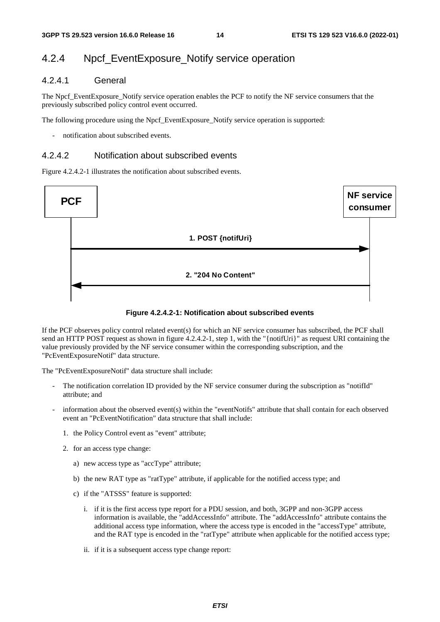# 4.2.4 Npcf\_EventExposure\_Notify service operation

### 4.2.4.1 General

The Npcf\_EventExposure\_Notify service operation enables the PCF to notify the NF service consumers that the previously subscribed policy control event occurred.

The following procedure using the Npcf\_EventExposure\_Notify service operation is supported:

notification about subscribed events.

#### 4.2.4.2 Notification about subscribed events

Figure 4.2.4.2-1 illustrates the notification about subscribed events.



#### **Figure 4.2.4.2-1: Notification about subscribed events**

If the PCF observes policy control related event(s) for which an NF service consumer has subscribed, the PCF shall send an HTTP POST request as shown in figure 4.2.4.2-1, step 1, with the "{notifUri}" as request URI containing the value previously provided by the NF service consumer within the corresponding subscription, and the "PcEventExposureNotif" data structure.

The "PcEventExposureNotif" data structure shall include:

- The notification correlation ID provided by the NF service consumer during the subscription as "notifId" attribute; and
- information about the observed event(s) within the "eventNotifs" attribute that shall contain for each observed event an "PcEventNotification" data structure that shall include:
	- 1. the Policy Control event as "event" attribute;
	- 2. for an access type change:
		- a) new access type as "accType" attribute;
		- b) the new RAT type as "ratType" attribute, if applicable for the notified access type; and
		- c) if the "ATSSS" feature is supported:
			- i. if it is the first access type report for a PDU session, and both, 3GPP and non-3GPP access information is available, the "addAccessInfo" attribute. The "addAccessInfo" attribute contains the additional access type information, where the access type is encoded in the "accessType" attribute, and the RAT type is encoded in the "ratType" attribute when applicable for the notified access type;
			- ii. if it is a subsequent access type change report: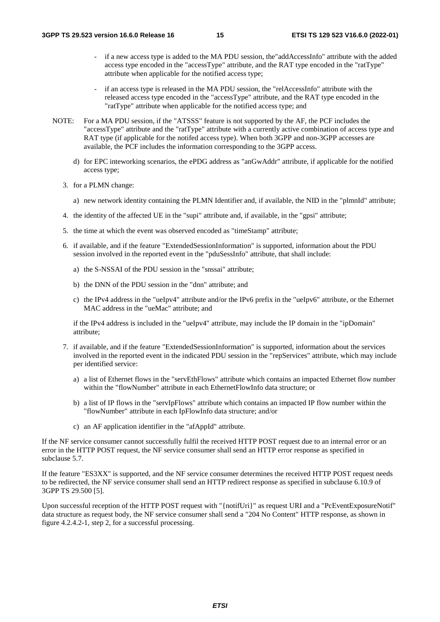- if a new access type is added to the MA PDU session, the"addAccessInfo" attribute with the added access type encoded in the "accessType" attribute, and the RAT type encoded in the "ratType" attribute when applicable for the notified access type;
- if an access type is released in the MA PDU session, the "relAccessInfo" attribute with the released access type encoded in the "accessType" attribute, and the RAT type encoded in the "ratType" attribute when applicable for the notified access type; and
- NOTE: For a MA PDU session, if the "ATSSS" feature is not supported by the AF, the PCF includes the "accessType" attribute and the "ratType" attribute with a currently active combination of access type and RAT type (if applicable for the notifed access type). When both 3GPP and non-3GPP accesses are available, the PCF includes the information corresponding to the 3GPP access.
	- d) for EPC inteworking scenarios, the ePDG address as "anGwAddr" attribute, if applicable for the notified access type;
	- 3. for a PLMN change:
		- a) new network identity containing the PLMN Identifier and, if available, the NID in the "plmnId" attribute;
	- 4. the identity of the affected UE in the "supi" attribute and, if available, in the "gpsi" attribute;
	- 5. the time at which the event was observed encoded as "timeStamp" attribute;
	- 6. if available, and if the feature "ExtendedSessionInformation" is supported, information about the PDU session involved in the reported event in the "pduSessInfo" attribute, that shall include:
		- a) the S-NSSAI of the PDU session in the "snssai" attribute;
		- b) the DNN of the PDU session in the "dnn" attribute; and
		- c) the IPv4 address in the "ueIpv4" attribute and/or the IPv6 prefix in the "ueIpv6" attribute, or the Ethernet MAC address in the "ueMac" attribute; and

if the IPv4 address is included in the "ueIpv4" attribute, may include the IP domain in the "ipDomain" attribute;

- 7. if available, and if the feature "ExtendedSessionInformation" is supported, information about the services involved in the reported event in the indicated PDU session in the "repServices" attribute, which may include per identified service:
	- a) a list of Ethernet flows in the "servEthFlows" attribute which contains an impacted Ethernet flow number within the "flowNumber" attribute in each EthernetFlowInfo data structure; or
	- b) a list of IP flows in the "servIpFlows" attribute which contains an impacted IP flow number within the "flowNumber" attribute in each IpFlowInfo data structure; and/or
	- c) an AF application identifier in the "afAppId" attribute.

If the NF service consumer cannot successfully fulfil the received HTTP POST request due to an internal error or an error in the HTTP POST request, the NF service consumer shall send an HTTP error response as specified in subclause 5.7.

If the feature "ES3XX" is supported, and the NF service consumer determines the received HTTP POST request needs to be redirected, the NF service consumer shall send an HTTP redirect response as specified in subclause 6.10.9 of 3GPP TS 29.500 [5].

Upon successful reception of the HTTP POST request with "{notifUri}" as request URI and a "PcEventExposureNotif" data structure as request body, the NF service consumer shall send a "204 No Content" HTTP response, as shown in figure 4.2.4.2-1, step 2, for a successful processing.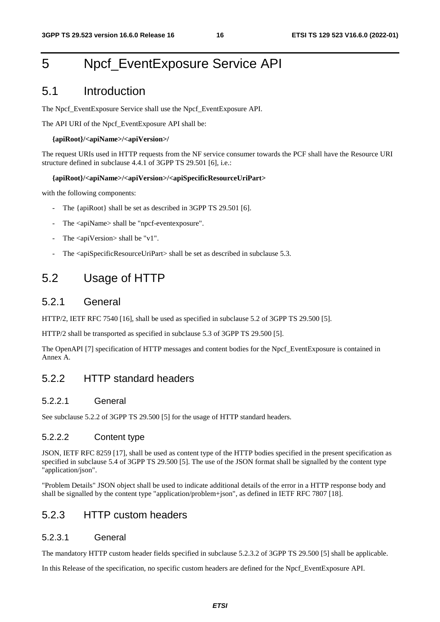# 5 Npcf\_EventExposure Service API

# 5.1 Introduction

The Npcf\_EventExposure Service shall use the Npcf\_EventExposure API.

The API URI of the Npcf\_EventExposure API shall be:

#### **{apiRoot}/<apiName>/<apiVersion>/**

The request URIs used in HTTP requests from the NF service consumer towards the PCF shall have the Resource URI structure defined in subclause 4.4.1 of 3GPP TS 29.501 [6], i.e.:

#### **{apiRoot}/<apiName>/<apiVersion>/<apiSpecificResourceUriPart>**

with the following components:

- The {apiRoot} shall be set as described in 3GPP TS 29.501 [6].
- The <apiName> shall be "npcf-eventexposure".
- The  $\langle$ apiVersion $>$ shall be "v1".
- The <apiSpecificResourceUriPart> shall be set as described in subclause 5.3.

# 5.2 Usage of HTTP

### 5.2.1 General

HTTP/2, IETF RFC 7540 [16], shall be used as specified in subclause 5.2 of 3GPP TS 29.500 [5].

HTTP/2 shall be transported as specified in subclause 5.3 of 3GPP TS 29.500 [5].

The OpenAPI [7] specification of HTTP messages and content bodies for the Npcf\_EventExposure is contained in Annex A.

### 5.2.2 HTTP standard headers

#### 5.2.2.1 General

See subclause 5.2.2 of 3GPP TS 29.500 [5] for the usage of HTTP standard headers.

### 5.2.2.2 Content type

JSON, IETF RFC 8259 [17], shall be used as content type of the HTTP bodies specified in the present specification as specified in subclause 5.4 of 3GPP TS 29.500 [5]. The use of the JSON format shall be signalled by the content type "application/json".

"Problem Details" JSON object shall be used to indicate additional details of the error in a HTTP response body and shall be signalled by the content type "application/problem+json", as defined in IETF RFC 7807 [18].

# 5.2.3 HTTP custom headers

#### 5.2.3.1 General

The mandatory HTTP custom header fields specified in subclause 5.2.3.2 of 3GPP TS 29.500 [5] shall be applicable.

In this Release of the specification, no specific custom headers are defined for the Npcf\_EventExposure API.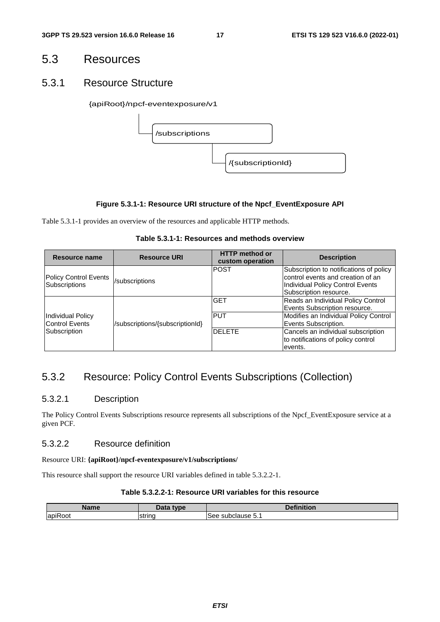# 5.3 Resources

### 5.3.1 Resource Structure

#### {apiRoot}/npcf-eventexposure/v1



#### **Figure 5.3.1-1: Resource URI structure of the Npcf\_EventExposure API**

Table 5.3.1-1 provides an overview of the resources and applicable HTTP methods.

| Table 5.3.1-1: Resources and methods overview |  |
|-----------------------------------------------|--|
|-----------------------------------------------|--|

| Resource name                                 | <b>Resource URI</b>             | <b>HTTP</b> method or<br>custom operation | <b>Description</b>                                                                                                                         |
|-----------------------------------------------|---------------------------------|-------------------------------------------|--------------------------------------------------------------------------------------------------------------------------------------------|
| <b>Policy Control Events</b><br>Subscriptions | /subscriptions                  | <b>POST</b>                               | Subscription to notifications of policy<br>control events and creation of an<br>Individual Policy Control Events<br>Subscription resource. |
|                                               |                                 | <b>GET</b>                                | Reads an Individual Policy Control<br>Events Subscription resource.                                                                        |
| <b>Individual Policy</b><br>Control Events    | /subscriptions/{subscriptionId} | <b>PUT</b>                                | Modifies an Individual Policy Control<br>Events Subscription.                                                                              |
| Subscription                                  |                                 | <b>DELETE</b>                             | Cancels an individual subscription<br>to notifications of policy control<br>events.                                                        |

# 5.3.2 Resource: Policy Control Events Subscriptions (Collection)

### 5.3.2.1 Description

The Policy Control Events Subscriptions resource represents all subscriptions of the Npcf\_EventExposure service at a given PCF.

#### 5.3.2.2 Resource definition

#### Resource URI: **{apiRoot}/npcf-eventexposure/v1/subscriptions/**

This resource shall support the resource URI variables defined in table 5.3.2.2-1.

#### **Table 5.3.2.2-1: Resource URI variables for this resource**

| Namo    | $-1-$<br>tyne | .<br><b>The State State</b><br>'nition |
|---------|---------------|----------------------------------------|
| apiRoot | strinc        | subclause 5.1<br>See:                  |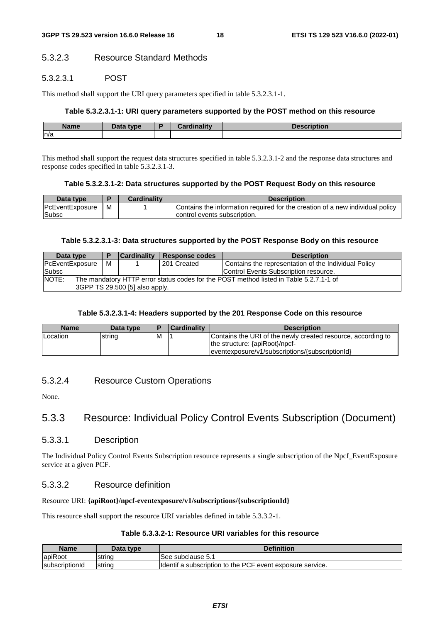### 5.3.2.3 Resource Standard Methods

#### 5.3.2.3.1 POST

This method shall support the URI query parameters specified in table 5.3.2.3.1-1.

#### **Table 5.3.2.3.1-1: URI query parameters supported by the POST method on this resource**

| <b>Name</b> | Data type | D | dinality<br><b>TOP</b> | <b>Description</b> |
|-------------|-----------|---|------------------------|--------------------|
| n/a         |           |   |                        |                    |

This method shall support the request data structures specified in table 5.3.2.3.1-2 and the response data structures and response codes specified in table 5.3.2.3.1-3.

#### **Table 5.3.2.3.1-2: Data structures supported by the POST Request Body on this resource**

| Data type       |   | <b>Cardinality</b> | <b>Description</b>                                                            |
|-----------------|---|--------------------|-------------------------------------------------------------------------------|
| PcEventExposure | м |                    | Contains the information required for the creation of a new individual policy |
| <b>Subsc</b>    |   |                    | control events subscription.                                                  |

#### **Table 5.3.2.3.1-3: Data structures supported by the POST Response Body on this resource**

| Data type                                                                                       |   | <b>Cardinality</b> | Response codes | <b>Description</b>                                   |  |
|-------------------------------------------------------------------------------------------------|---|--------------------|----------------|------------------------------------------------------|--|
| PcEventExposure                                                                                 | м |                    | 201 Created    | Contains the representation of the Individual Policy |  |
| Subsc                                                                                           |   |                    |                | Control Events Subscription resource.                |  |
| NOTE:<br>The mandatory HTTP error status codes for the POST method listed in Table 5.2.7.1-1 of |   |                    |                |                                                      |  |
| 3GPP TS 29.500 [5] also apply.                                                                  |   |                    |                |                                                      |  |

#### **Table 5.3.2.3.1-4: Headers supported by the 201 Response Code on this resource**

| <b>Name</b>     | Data type | Ð | <b>Cardinality</b> | <b>Description</b>                                                                                                                                 |
|-----------------|-----------|---|--------------------|----------------------------------------------------------------------------------------------------------------------------------------------------|
| <b>Location</b> | string    | м |                    | Contains the URI of the newly created resource, according to<br>the structure: {apiRoot}/npcf-<br> eventexposure/v1/subscriptions/{subscriptionId} |

### 5.3.2.4 Resource Custom Operations

None.

# 5.3.3 Resource: Individual Policy Control Events Subscription (Document)

#### 5.3.3.1 Description

The Individual Policy Control Events Subscription resource represents a single subscription of the Npcf\_EventExposure service at a given PCF.

#### 5.3.3.2 Resource definition

#### Resource URI: **{apiRoot}/npcf-eventexposure/v1/subscriptions/{subscriptionId}**

This resource shall support the resource URI variables defined in table 5.3.3.2-1.

#### **Table 5.3.3.2-1: Resource URI variables for this resource**

| <b>Name</b>    | Data type | <b>Definition</b>                                          |
|----------------|-----------|------------------------------------------------------------|
| apiRoot        | strina    | lSee subclause 5.1                                         |
| subscriptionId | string    | Ildentif a subscription to the PCF event exposure service. |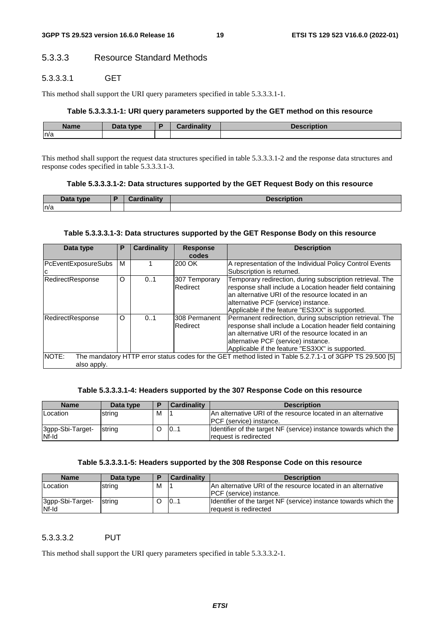### 5.3.3.3 Resource Standard Methods

### 5.3.3.3.1 GET

This method shall support the URI query parameters specified in table 5.3.3.3.1-1.

#### **Table 5.3.3.3.1-1: URI query parameters supported by the GET method on this resource**

| <b>Name</b> | <b>Thatype</b> | . .<br><b>CONSUMPTION</b> | Description |
|-------------|----------------|---------------------------|-------------|
| n/a         |                |                           |             |

This method shall support the request data structures specified in table 5.3.3.3.1-2 and the response data structures and response codes specified in table 5.3.3.3.1-3.

#### **Table 5.3.3.3.1-2: Data structures supported by the GET Request Body on this resource**

| Data type | $\mathbf{r}$<br>יי ה | <b>Description</b> |
|-----------|----------------------|--------------------|
| n/a       |                      |                    |

#### **Table 5.3.3.3.1-3: Data structures supported by the GET Response Body on this resource**

| Data type                  | P | <b>Cardinality</b> | <b>Response</b> | <b>Description</b>                                                                                       |
|----------------------------|---|--------------------|-----------------|----------------------------------------------------------------------------------------------------------|
|                            |   |                    | codes           |                                                                                                          |
| <b>PcEventExposureSubs</b> | м |                    | 200 OK          | A representation of the Individual Policy Control Events                                                 |
| C                          |   |                    |                 | Subscription is returned.                                                                                |
| RedirectResponse           | O | 0.1                | 307 Temporary   | Temporary redirection, during subscription retrieval. The                                                |
|                            |   |                    | Redirect        | response shall include a Location header field containing                                                |
|                            |   |                    |                 | lan alternative URI of the resource located in an                                                        |
|                            |   |                    |                 | alternative PCF (service) instance.                                                                      |
|                            |   |                    |                 | Applicable if the feature "ES3XX" is supported.                                                          |
| RedirectResponse           | O | 0.1                | I308 Permanent  | Permanent redirection, during subscription retrieval. The                                                |
|                            |   |                    | Redirect        | response shall include a Location header field containing                                                |
|                            |   |                    |                 | an alternative URI of the resource located in an                                                         |
|                            |   |                    |                 | alternative PCF (service) instance.                                                                      |
|                            |   |                    |                 | Applicable if the feature "ES3XX" is supported.                                                          |
| NOTE:                      |   |                    |                 | The mandatory HTTP error status codes for the GET method listed in Table 5.2.7.1-1 of 3GPP TS 29.500 [5] |
| also apply.                |   |                    |                 |                                                                                                          |

#### **Table 5.3.3.3.1-4: Headers supported by the 307 Response Code on this resource**

| <b>Name</b>               | Data type | E | <b>Cardinality</b> | <b>Description</b>                                                                               |
|---------------------------|-----------|---|--------------------|--------------------------------------------------------------------------------------------------|
| <b>ILocation</b>          | string    | M |                    | IAn alternative URI of the resource located in an alternative<br><b>IPCF</b> (service) instance. |
| 3gpp-Sbi-Target-<br>Nf-Id | strina    |   | 10.1               | Identifier of the target NF (service) instance towards which the<br>request is redirected        |

#### **Table 5.3.3.3.1-5: Headers supported by the 308 Response Code on this resource**

| <b>Name</b>      | Data type | Е | <b>Cardinality</b> | <b>Description</b>                                               |
|------------------|-----------|---|--------------------|------------------------------------------------------------------|
| Location         | string    | M |                    | IAn alternative URI of the resource located in an alternative    |
|                  |           |   |                    | <b>IPCF</b> (service) instance.                                  |
| 3gpp-Sbi-Target- | string    |   | 101                | Identifier of the target NF (service) instance towards which the |
| Nf-Id            |           |   |                    | request is redirected                                            |

### 5.3.3.3.2 PUT

This method shall support the URI query parameters specified in table 5.3.3.3.2-1.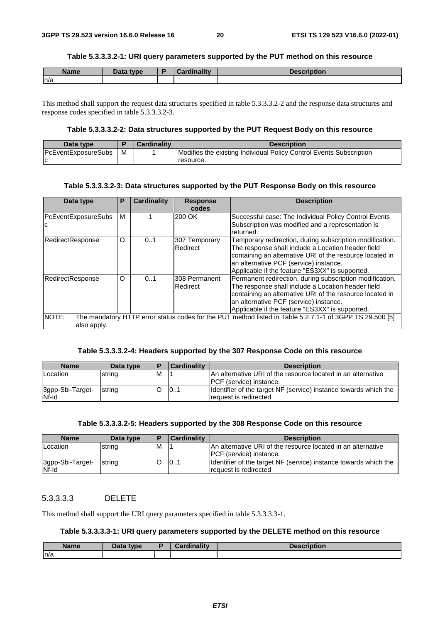#### **Table 5.3.3.3.2-1: URI query parameters supported by the PUT method on this resource**

| <b>Name</b> | Data type<br>Dald | Cordinality<br>- - - - | <b>Description</b> |
|-------------|-------------------|------------------------|--------------------|
| n/a         |                   |                        |                    |

This method shall support the request data structures specified in table 5.3.3.3.2-2 and the response data structures and response codes specified in table 5.3.3.3.2-3.

#### **Table 5.3.3.3.2-2: Data structures supported by the PUT Request Body on this resource**

| Data type                  |   | <b>Cardinality</b> | <b>Description</b>                                                  |
|----------------------------|---|--------------------|---------------------------------------------------------------------|
| <b>PcEventExposureSubs</b> | M |                    | Modifies the existing Individual Policy Control Events Subscription |
| $\sim$                     |   |                    | resource.                                                           |

#### **Table 5.3.3.3.2-3: Data structures supported by the PUT Response Body on this resource**

| Data type           | P | Cardinality | <b>Response</b>      | <b>Description</b>                                                                                       |
|---------------------|---|-------------|----------------------|----------------------------------------------------------------------------------------------------------|
|                     |   |             | codes                |                                                                                                          |
| PcEventExposureSubs | м |             | 200 OK               | Successful case: The Individual Policy Control Events                                                    |
| Ιc                  |   |             |                      | Subscription was modified and a representation is                                                        |
|                     |   |             |                      | returned.                                                                                                |
| RedirectResponse    | O | 01          | 307 Temporary        | Temporary redirection, during subscription modification.                                                 |
|                     |   |             | Redirect             | The response shall include a Location header field                                                       |
|                     |   |             |                      | containing an alternative URI of the resource located in                                                 |
|                     |   |             |                      | an alternative PCF (service) instance.                                                                   |
|                     |   |             |                      | Applicable if the feature "ES3XX" is supported.                                                          |
| RedirectResponse    | O | 0.1         | <b>308 Permanent</b> | Permanent redirection, during subscription modification.                                                 |
|                     |   |             | Redirect             | The response shall include a Location header field                                                       |
|                     |   |             |                      | containing an alternative URI of the resource located in                                                 |
|                     |   |             |                      | an alternative PCF (service) instance.                                                                   |
|                     |   |             |                      | Applicable if the feature "ES3XX" is supported.                                                          |
| NOTE:               |   |             |                      | The mandatory HTTP error status codes for the PUT method listed in Table 5.2.7.1-1 of 3GPP TS 29.500 [5] |
| also apply.         |   |             |                      |                                                                                                          |

#### **Table 5.3.3.3.2-4: Headers supported by the 307 Response Code on this resource**

| <b>Name</b>               | Data type |   | <b>Cardinality</b> | <b>Description</b>                                                                             |
|---------------------------|-----------|---|--------------------|------------------------------------------------------------------------------------------------|
| Location                  | string    | м |                    | An alternative URI of the resource located in an alternative<br><b>PCF</b> (service) instance. |
| 3gpp-Sbi-Target-<br>Nf-Id | string    |   | 101                | Identifier of the target NF (service) instance towards which the<br>request is redirected      |

#### **Table 5.3.3.3.2-5: Headers supported by the 308 Response Code on this resource**

| <b>Name</b>               | Data type | Ð | <b>Cardinality</b> | <b>Description</b>                                                                              |
|---------------------------|-----------|---|--------------------|-------------------------------------------------------------------------------------------------|
| <b>Location</b>           | string    | м |                    | An alternative URI of the resource located in an alternative<br><b>IPCF</b> (service) instance. |
| 3gpp-Sbi-Target-<br>Nf-Id | string    |   | 10.1               | Ildentifier of the target NF (service) instance towards which the<br>request is redirected      |

### 5.3.3.3.3 DELETE

This method shall support the URI query parameters specified in table 5.3.3.3.3-1.

#### **Table 5.3.3.3.3-1: URI query parameters supported by the DELETE method on this resource**

| <b>Name</b> | Data type | <b>Cardinality</b> | <b>Description</b> |
|-------------|-----------|--------------------|--------------------|
| ln/a        |           |                    |                    |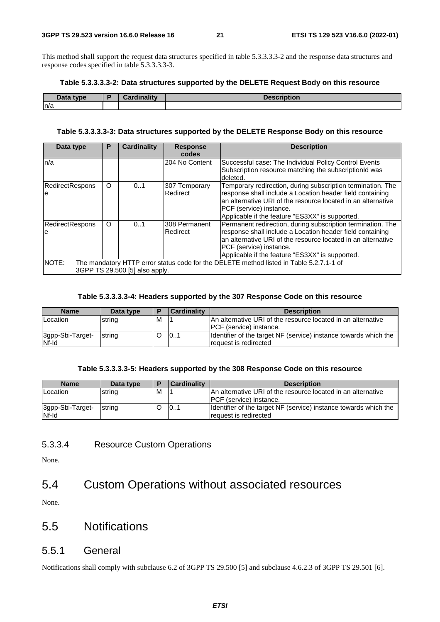This method shall support the request data structures specified in table 5.3.3.3.3-2 and the response data structures and response codes specified in table 5.3.3.3.3-3.

#### **Table 5.3.3.3.3-2: Data structures supported by the DELETE Request Body on this resource**

| Data type | Cardinality | <b>Description</b> |
|-----------|-------------|--------------------|
| ln/a      |             |                    |

#### **Table 5.3.3.3.3-3: Data structures supported by the DELETE Response Body on this resource**

| Data type                                                                                                                          | Р        | <b>Cardinality</b> | <b>Response</b><br>codes   | <b>Description</b>                                                                                                                                                                                                                                                     |  |  |
|------------------------------------------------------------------------------------------------------------------------------------|----------|--------------------|----------------------------|------------------------------------------------------------------------------------------------------------------------------------------------------------------------------------------------------------------------------------------------------------------------|--|--|
| n/a                                                                                                                                |          |                    | 204 No Content             | Successful case: The Individual Policy Control Events<br>Subscription resource matching the subscriptionId was<br>deleted.                                                                                                                                             |  |  |
| <b>RedirectRespons</b><br>e                                                                                                        | $\circ$  | 0.1                | 307 Temporary<br>Redirect  | Temporary redirection, during subscription termination. The<br>response shall include a Location header field containing<br>an alternative URI of the resource located in an alternative<br>PCF (service) instance.<br>Applicable if the feature "ES3XX" is supported. |  |  |
| <b>RedirectRespons</b><br>le                                                                                                       | $\Omega$ | 0.1                | I308 Permanent<br>Redirect | Permanent redirection, during subscription termination. The<br>response shall include a Location header field containing<br>an alternative URI of the resource located in an alternative<br>PCF (service) instance.<br>Applicable if the feature "ES3XX" is supported. |  |  |
| NOTE:<br>The mandatory HTTP error status code for the DELETE method listed in Table 5.2.7.1-1 of<br>3GPP TS 29.500 [5] also apply. |          |                    |                            |                                                                                                                                                                                                                                                                        |  |  |

#### **Table 5.3.3.3.3-4: Headers supported by the 307 Response Code on this resource**

| <b>Name</b>               | Data type | Е | <b>Cardinality</b> | <b>Description</b>                                                                               |
|---------------------------|-----------|---|--------------------|--------------------------------------------------------------------------------------------------|
| Location                  | string    | M |                    | IAn alternative URI of the resource located in an alternative<br><b>IPCF</b> (service) instance. |
| 3gpp-Sbi-Target-<br>Nf-Id | string    |   | 101                | Identifier of the target NF (service) instance towards which the<br>Irequest is redirected       |

#### **Table 5.3.3.3.3-5: Headers supported by the 308 Response Code on this resource**

| <b>Name</b>               | Data type | і в | <b>Cardinality</b> | <b>Description</b>                                                                              |
|---------------------------|-----------|-----|--------------------|-------------------------------------------------------------------------------------------------|
| <b>Location</b>           | string    | м   |                    | An alternative URI of the resource located in an alternative<br><b>IPCF</b> (service) instance. |
| 3gpp-Sbi-Target-<br>Nf-Id | string    |     | 101                | Identifier of the target NF (service) instance towards which the<br>request is redirected       |

#### 5.3.3.4 Resource Custom Operations

None.

# 5.4 Custom Operations without associated resources

None.

# 5.5 Notifications

### 5.5.1 General

Notifications shall comply with subclause 6.2 of 3GPP TS 29.500 [5] and subclause 4.6.2.3 of 3GPP TS 29.501 [6].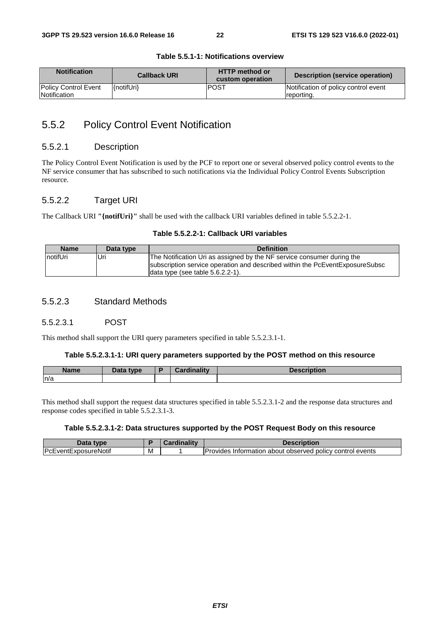| <b>Notification</b>         | <b>Callback URI</b> | <b>HTTP method or</b><br>custom operation | Description (service operation)      |
|-----------------------------|---------------------|-------------------------------------------|--------------------------------------|
| <b>Policy Control Event</b> | l{notifUri}         | IPOST                                     | Notification of policy control event |
| Notification                |                     |                                           | reporting.                           |

#### **Table 5.5.1-1: Notifications overview**

# 5.5.2 Policy Control Event Notification

#### 5.5.2.1 Description

The Policy Control Event Notification is used by the PCF to report one or several observed policy control events to the NF service consumer that has subscribed to such notifications via the Individual Policy Control Events Subscription resource.

#### 5.5.2.2 Target URI

The Callback URI **"{notifUri}"** shall be used with the callback URI variables defined in table 5.5.2.2-1.

#### **Table 5.5.2.2-1: Callback URI variables**

| <b>Name</b> | Data type | <b>Definition</b>                                                                                                   |
|-------------|-----------|---------------------------------------------------------------------------------------------------------------------|
| notifUri    | Uri       | The Notification Uri as assigned by the NF service consumer during the                                              |
|             |           | subscription service operation and described within the PcEventExposureSubsc<br>data type (see table $5.6.2.2-1$ ). |

#### 5.5.2.3 Standard Methods

#### 5.5.2.3.1 POST

This method shall support the URI query parameters specified in table 5.5.2.3.1-1.

#### **Table 5.5.2.3.1-1: URI query parameters supported by the POST method on this resource**

| <b>Name</b> | Data type | <b>Cardinality</b> | <b>Description</b> |
|-------------|-----------|--------------------|--------------------|
| n/a         |           |                    |                    |

This method shall support the request data structures specified in table 5.5.2.3.1-2 and the response data structures and response codes specified in table 5.5.2.3.1-3.

#### **Table 5.5.2.3.1-2: Data structures supported by the POST Request Body on this resource**

| Data<br><b>tvne</b>          |   | --<br><b>STATISTICS</b> | <b>Description</b>                                                    |
|------------------------------|---|-------------------------|-----------------------------------------------------------------------|
| <b>IPcEventExposureNotif</b> | M |                         | Provides<br>events<br>policy control<br>about observed<br>Information |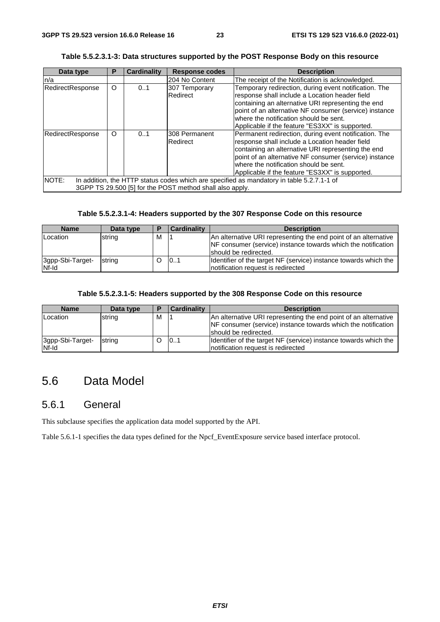| Data type                                                                                                                                                      | P       | <b>Cardinality</b>        | <b>Response codes</b>                                                                                                                                                                                                                                                                                                                             | <b>Description</b>                               |  |  |
|----------------------------------------------------------------------------------------------------------------------------------------------------------------|---------|---------------------------|---------------------------------------------------------------------------------------------------------------------------------------------------------------------------------------------------------------------------------------------------------------------------------------------------------------------------------------------------|--------------------------------------------------|--|--|
| n/a                                                                                                                                                            |         |                           | 204 No Content                                                                                                                                                                                                                                                                                                                                    | The receipt of the Notification is acknowledged. |  |  |
| RedirectResponse                                                                                                                                               | $\circ$ | 0.1                       | 307 Temporary<br>Temporary redirection, during event notification. The<br>Redirect<br>response shall include a Location header field<br>containing an alternative URI representing the end<br>point of an alternative NF consumer (service) instance<br>where the notification should be sent.<br>Applicable if the feature "ES3XX" is supported. |                                                  |  |  |
| RedirectResponse<br>$\circ$<br>0.1                                                                                                                             |         | 308 Permanent<br>Redirect | Permanent redirection, during event notification. The<br>response shall include a Location header field<br>containing an alternative URI representing the end<br>point of an alternative NF consumer (service) instance<br>where the notification should be sent.<br>Applicable if the feature "ES3XX" is supported.                              |                                                  |  |  |
| NOTE:<br>In addition, the HTTP status codes which are specified as mandatory in table 5.2.7.1-1 of<br>3GPP TS 29.500 [5] for the POST method shall also apply. |         |                           |                                                                                                                                                                                                                                                                                                                                                   |                                                  |  |  |

#### **Table 5.5.2.3.1-3: Data structures supported by the POST Response Body on this resource**

#### **Table 5.5.2.3.1-4: Headers supported by the 307 Response Code on this resource**

| <b>Name</b>               | Data type | Ð | <b>Cardinality</b> | <b>Description</b>                                                                                                                                        |
|---------------------------|-----------|---|--------------------|-----------------------------------------------------------------------------------------------------------------------------------------------------------|
| Location                  | string    | м |                    | An alternative URI representing the end point of an alternative<br>NF consumer (service) instance towards which the notification<br>should be redirected. |
| 3gpp-Sbi-Target-<br>Nf-Id | string    |   | 101                | Identifier of the target NF (service) instance towards which the<br>Inotification request is redirected                                                   |

#### **Table 5.5.2.3.1-5: Headers supported by the 308 Response Code on this resource**

| <b>Name</b>               | Data type |   | <b>Cardinality</b> | <b>Description</b>                                                                                                                                         |
|---------------------------|-----------|---|--------------------|------------------------------------------------------------------------------------------------------------------------------------------------------------|
| Location                  | string    | м |                    | An alternative URI representing the end point of an alternative<br>NF consumer (service) instance towards which the notification<br>Ishould be redirected. |
| 3gpp-Sbi-Target-<br>Nf-Id | string    |   | 101                | Identifier of the target NF (service) instance towards which the<br>Inotification request is redirected                                                    |

# 5.6 Data Model

# 5.6.1 General

This subclause specifies the application data model supported by the API.

Table 5.6.1-1 specifies the data types defined for the Npcf\_EventExposure service based interface protocol.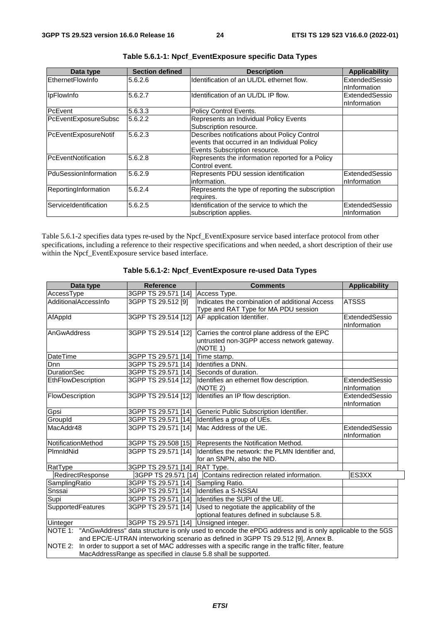| Data type             | <b>Section defined</b> | <b>Description</b>                                                                                                            | <b>Applicability</b>            |
|-----------------------|------------------------|-------------------------------------------------------------------------------------------------------------------------------|---------------------------------|
| EthernetFlowInfo      | 5.6.2.6                | Identification of an UL/DL ethernet flow.                                                                                     | ExtendedSessio<br>nInformation  |
| <b>IpFlowInfo</b>     | 5.6.2.7                | Identification of an UL/DL IP flow.                                                                                           | ExtendedSessio<br>InInformation |
| PcEvent               | 5.6.3.3                | Policy Control Events.                                                                                                        |                                 |
| PcEventExposureSubsc  | 5.6.2.2                | Represents an Individual Policy Events<br>Subscription resource.                                                              |                                 |
| PcEventExposureNotif  | 5.6.2.3                | Describes notifications about Policy Control<br>events that occurred in an Individual Policy<br>Events Subscription resource. |                                 |
| PcEventNotification   | 5.6.2.8                | Represents the information reported for a Policy<br>Control event.                                                            |                                 |
| PduSessionInformation | 5.6.2.9                | Represents PDU session identification<br>information.                                                                         | ExtendedSessio<br>InInformation |
| ReportingInformation  | 5.6.2.4                | Represents the type of reporting the subscription<br>requires.                                                                |                                 |
| ServiceIdentification | 5.6.2.5                | Identification of the service to which the<br>subscription applies.                                                           | ExtendedSessio<br>nInformation  |

Table 5.6.1-2 specifies data types re-used by the Npcf\_EventExposure service based interface protocol from other specifications, including a reference to their respective specifications and when needed, a short description of their use within the Npcf\_EventExposure service based interface.

| <b>Reference</b><br>Data type |                                       | <b>Comments</b>                                                                                        | <b>Applicability</b> |
|-------------------------------|---------------------------------------|--------------------------------------------------------------------------------------------------------|----------------------|
| AccessType                    | 3GPP TS 29.571 [14]                   | Access Type.                                                                                           |                      |
| AdditionalAccessInfo          | 3GPP TS 29.512 [9]                    | Indicates the combination of additional Access                                                         | <b>ATSSS</b>         |
|                               |                                       | Type and RAT Type for MA PDU session                                                                   |                      |
| AfAppId                       | 3GPP TS 29.514 [12]                   | AF application Identifier.                                                                             | ExtendedSessio       |
|                               |                                       |                                                                                                        | nInformation         |
| AnGwAddress                   | 3GPP TS 29.514 [12]                   | Carries the control plane address of the EPC                                                           |                      |
|                               |                                       | untrusted non-3GPP access network gateway.                                                             |                      |
| DateTime                      | 3GPP TS 29.571 [14]                   | (NOTE 1)<br>Time stamp.                                                                                |                      |
| Dnn                           | 3GPP TS 29.571 [14]                   | Identifies a DNN.                                                                                      |                      |
| <b>DurationSec</b>            | 3GPP TS 29.571 [14]                   | Seconds of duration.                                                                                   |                      |
| EthFlowDescription            |                                       | 3GPP TS 29.514 [12] Identifies an ethernet flow description.                                           | ExtendedSessio       |
|                               |                                       | (NOTE 2)                                                                                               | nInformation         |
| FlowDescription               | 3GPP TS 29.514 [12]                   | Identifies an IP flow description.                                                                     | ExtendedSessio       |
|                               |                                       |                                                                                                        | nInformation         |
| Gpsi                          | 3GPP TS 29.571 [14]                   | Generic Public Subscription Identifier.                                                                |                      |
| GroupId                       |                                       | 3GPP TS 29.571 [14] Identifies a group of UEs.                                                         |                      |
| MacAddr48                     | 3GPP TS 29.571 [14]                   | Mac Address of the UE.                                                                                 | ExtendedSessio       |
|                               |                                       |                                                                                                        | nInformation         |
| NotificationMethod            | 3GPP TS 29.508 [15]                   | Represents the Notification Method.                                                                    |                      |
| PlmnldNid                     | 3GPP TS 29.571 [14]                   | Identifies the network: the PLMN Identifier and,                                                       |                      |
|                               |                                       | for an SNPN, also the NID.                                                                             |                      |
| RatType                       | 3GPP TS 29.571 [14]                   | <b>RAT Type.</b>                                                                                       |                      |
| RedirectResponse              | 3GPP TS 29.571 [14]                   | Contains redirection related information.                                                              | ES3XX                |
| SamplingRatio                 | 3GPP TS 29.571 [14]                   | Sampling Ratio.                                                                                        |                      |
| Snssai                        | 3GPP TS 29.571 [14]                   | Identifies a S-NSSAI                                                                                   |                      |
| Supi                          |                                       | 3GPP TS 29.571 [14] Identifies the SUPI of the UE.                                                     |                      |
| SupportedFeatures             | 3GPP TS 29.571 [14]                   | Used to negotiate the applicability of the                                                             |                      |
|                               |                                       | optional features defined in subclause 5.8.                                                            |                      |
| <b>Uinteger</b>               | 3GPP TS 29.571 [14] Unsigned integer. |                                                                                                        |                      |
| NOTE 1:                       |                                       | "AnGwAddress" data structure is only used to encode the ePDG address and is only applicable to the 5GS |                      |
|                               |                                       | and EPC/E-UTRAN interworking scenario as defined in 3GPP TS 29.512 [9], Annex B.                       |                      |
| <b>NOTE 2:</b>                |                                       | In order to support a set of MAC addresses with a specific range in the traffic filter, feature        |                      |
|                               |                                       | MacAddressRange as specified in clause 5.8 shall be supported.                                         |                      |

#### **Table 5.6.1-2: Npcf\_EventExposure re-used Data Types**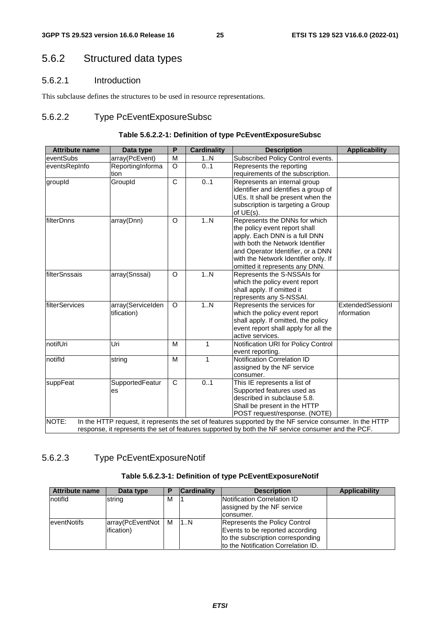# 5.6.2 Structured data types

### 5.6.2.1 Introduction

This subclause defines the structures to be used in resource representations.

### 5.6.2.2 Type PcEventExposureSubsc

#### **Table 5.6.2.2-1: Definition of type PcEventExposureSubsc**

| <b>Attribute name</b> | Data type         | P            | <b>Cardinality</b> | <b>Description</b>                                                                                       | <b>Applicability</b> |
|-----------------------|-------------------|--------------|--------------------|----------------------------------------------------------------------------------------------------------|----------------------|
| eventSubs             | array(PcEvent)    | M            | 1N                 | Subscribed Policy Control events.                                                                        |                      |
| eventsRepInfo         | ReportingInforma  | $\Omega$     | 01                 | Represents the reporting                                                                                 |                      |
|                       | tion              |              |                    | requirements of the subscription.                                                                        |                      |
| groupId               | GroupId           | $\mathsf{C}$ | 0.1                | Represents an internal group                                                                             |                      |
|                       |                   |              |                    | identifier and identifies a group of                                                                     |                      |
|                       |                   |              |                    | UEs. It shall be present when the                                                                        |                      |
|                       |                   |              |                    | subscription is targeting a Group<br>of $UE(s)$ .                                                        |                      |
| filterDnns            | array(Dnn)        | O            | 1N                 | Represents the DNNs for which                                                                            |                      |
|                       |                   |              |                    | the policy event report shall                                                                            |                      |
|                       |                   |              |                    | apply. Each DNN is a full DNN                                                                            |                      |
|                       |                   |              |                    | with both the Network Identifier                                                                         |                      |
|                       |                   |              |                    | and Operator Identifier, or a DNN                                                                        |                      |
|                       |                   |              |                    | with the Network Identifier only. If                                                                     |                      |
|                       |                   |              |                    | omitted it represents any DNN.                                                                           |                      |
| filterSnssais         | array(Snssai)     | O            | 1N                 | Represents the S-NSSAIs for                                                                              |                      |
|                       |                   |              |                    | which the policy event report                                                                            |                      |
|                       |                   |              |                    | shall apply. If omitted it                                                                               |                      |
|                       |                   |              |                    | represents any S-NSSAI.                                                                                  |                      |
| filterServices        | array(ServiceIden | $\circ$      | 1.N                | Represents the services for                                                                              | ExtendedSessionI     |
|                       | tification)       |              |                    | which the policy event report                                                                            | nformation           |
|                       |                   |              |                    | shall apply. If omitted, the policy                                                                      |                      |
|                       |                   |              |                    | event report shall apply for all the<br>active services.                                                 |                      |
| notifUri              | Uri               | M            | 1                  | Notification URI for Policy Control                                                                      |                      |
|                       |                   |              |                    | event reporting.                                                                                         |                      |
| notifld               | string            | M            | 1                  | Notification Correlation ID                                                                              |                      |
|                       |                   |              |                    | assigned by the NF service                                                                               |                      |
|                       |                   |              |                    | consumer.                                                                                                |                      |
| suppFeat              | SupportedFeatur   | $\mathsf{C}$ | 0.1                | This IE represents a list of                                                                             |                      |
|                       | es                |              |                    | Supported features used as                                                                               |                      |
|                       |                   |              |                    | described in subclause 5.8.                                                                              |                      |
|                       |                   |              |                    | Shall be present in the HTTP                                                                             |                      |
|                       |                   |              |                    | POST request/response. (NOTE)                                                                            |                      |
| NOTE:                 |                   |              |                    | In the HTTP request, it represents the set of features supported by the NF service consumer. In the HTTP |                      |
|                       |                   |              |                    | response, it represents the set of features supported by both the NF service consumer and the PCF.       |                      |

### 5.6.2.3 Type PcEventExposureNotif

### **Table 5.6.2.3-1: Definition of type PcEventExposureNotif**

| <b>Attribute name</b> | Data type        |     | <b>Cardinality</b> | <b>Description</b>                                        | <b>Applicability</b> |
|-----------------------|------------------|-----|--------------------|-----------------------------------------------------------|----------------------|
| notifid               | string           | м   |                    | Notification Correlation ID<br>assigned by the NF service |                      |
|                       |                  |     |                    | Iconsumer.                                                |                      |
| <b>leventNotifs</b>   | array(PcEventNot | I M | 11N                | Represents the Policy Control                             |                      |
|                       | lification)      |     |                    | Events to be reported according                           |                      |
|                       |                  |     |                    | to the subscription corresponding                         |                      |
|                       |                  |     |                    | Ito the Notification Correlation ID.                      |                      |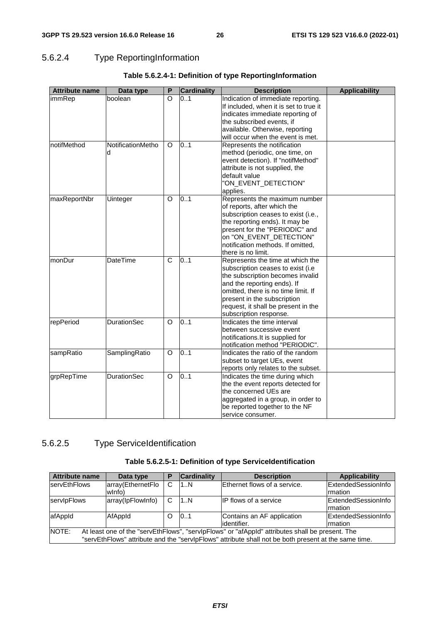# 5.6.2.4 Type ReportingInformation

| <b>Attribute name</b> | Data type              | P        | <b>Cardinality</b> | <b>Description</b>                                                                                                                                                                                                                                                               | <b>Applicability</b> |
|-----------------------|------------------------|----------|--------------------|----------------------------------------------------------------------------------------------------------------------------------------------------------------------------------------------------------------------------------------------------------------------------------|----------------------|
| immRep                | boolean                | $\Omega$ | 0.1                | Indication of immediate reporting.<br>If included, when it is set to true it<br>indicates immediate reporting of<br>the subscribed events, if<br>available. Otherwise, reporting<br>will occur when the event is met.                                                            |                      |
| notifMethod           | NotificationMetho<br>d | O        | 0.1                | Represents the notification<br>method (periodic, one time, on<br>event detection). If "notifMethod"<br>attribute is not supplied, the<br>default value<br>"ON_EVENT_DETECTION"<br>applies.                                                                                       |                      |
| maxReportNbr          | Uinteger               | $\circ$  | 0.1                | Represents the maximum number<br>of reports, after which the<br>subscription ceases to exist (i.e.,<br>the reporting ends). It may be<br>present for the "PERIODIC" and<br>on "ON_EVENT_DETECTION"<br>notification methods. If omitted,<br>there is no limit.                    |                      |
| monDur                | DateTime               | C        | 0.1                | Represents the time at which the<br>subscription ceases to exist (i.e.<br>the subscription becomes invalid<br>and the reporting ends). If<br>omitted, there is no time limit. If<br>present in the subscription<br>request, it shall be present in the<br>subscription response. |                      |
| repPeriod             | <b>DurationSec</b>     | $\circ$  | 0.1                | Indicates the time interval<br>between successive event<br>notifications. It is supplied for<br>notification method "PERIODIC".                                                                                                                                                  |                      |
| sampRatio             | SamplingRatio          | O        | 0.1                | Indicates the ratio of the random<br>subset to target UEs, event<br>reports only relates to the subset.                                                                                                                                                                          |                      |
| grpRepTime            | DurationSec            | O        | 0.1                | Indicates the time during which<br>the the event reports detected for<br>the concerned UEs are<br>aggregated in a group, in order to<br>be reported together to the NF<br>service consumer.                                                                                      |                      |

### **Table 5.6.2.4-1: Definition of type ReportingInformation**

# 5.6.2.5 Type ServiceIdentification

#### **Table 5.6.2.5-1: Definition of type ServiceIdentification**

| <b>Attribute name</b>                                                                                    | Data type                                                                                            | P | <b>Cardinality</b> | <b>Description</b>           | Applicability               |  |
|----------------------------------------------------------------------------------------------------------|------------------------------------------------------------------------------------------------------|---|--------------------|------------------------------|-----------------------------|--|
| servEthFlows                                                                                             | array(EthernetFlo                                                                                    | C | 1N                 | Ethernet flows of a service. | ExtendedSessionInfo         |  |
|                                                                                                          | wlnfo)                                                                                               |   |                    |                              | <b>Imation</b>              |  |
| servipFlows                                                                                              | array(lpFlowInfo)                                                                                    | C | 1N                 | <b>IP flows of a service</b> | <b>IExtendedSessionInfo</b> |  |
|                                                                                                          |                                                                                                      |   |                    |                              | <b>Irmation</b>             |  |
| afAppId                                                                                                  | AfAppId                                                                                              | O | 0.1                | Contains an AF application   | <b>ExtendedSessionInfo</b>  |  |
|                                                                                                          |                                                                                                      |   |                    | lidentifier.                 | <b>Irmation</b>             |  |
| NOTE:<br>At least one of the "servEthFlows", "servipFlows" or "afAppId" attributes shall be present. The |                                                                                                      |   |                    |                              |                             |  |
|                                                                                                          | "servEthFlows" attribute and the "servIpFlows" attribute shall not be both present at the same time. |   |                    |                              |                             |  |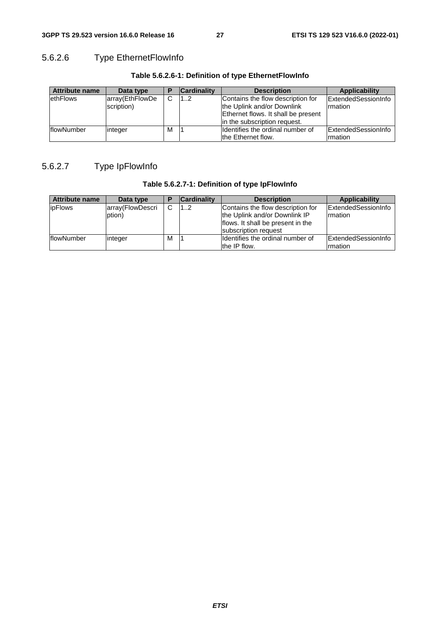# 5.6.2.6 Type EthernetFlowInfo

| <b>Attribute name</b> | Data type       |   | <b>Cardinality</b> | <b>Description</b>                  | Applicability       |
|-----------------------|-----------------|---|--------------------|-------------------------------------|---------------------|
| ethFlows              | array(EthFlowDe | C | 12                 | Contains the flow description for   | ExtendedSessionInfo |
|                       | scription)      |   |                    | the Uplink and/or Downlink          | Irmation            |
|                       |                 |   |                    | Ethernet flows. It shall be present |                     |
|                       |                 |   |                    | lin the subscription request.       |                     |
| flowNumber            | integer         | M |                    | Ildentifies the ordinal number of   | ExtendedSessionInfo |
|                       |                 |   |                    | the Ethernet flow.                  | Irmation            |

### **Table 5.6.2.6-1: Definition of type EthernetFlowInfo**

# 5.6.2.7 Type IpFlowInfo

| Table 5.6.2.7-1: Definition of type IpFlowInfo |  |  |
|------------------------------------------------|--|--|
|------------------------------------------------|--|--|

| Attribute name     | Data type                  |   | <b>Cardinality</b> | <b>Description</b>                                                                                                              | Applicability                          |
|--------------------|----------------------------|---|--------------------|---------------------------------------------------------------------------------------------------------------------------------|----------------------------------------|
| <b>ipFlows</b>     | array(FlowDescri<br>ption) | C | 12                 | Contains the flow description for<br>the Uplink and/or Downlink IP<br>flows. It shall be present in the<br>subscription request | ExtendedSessionInfo<br>Irmation        |
| <b>IflowNumber</b> | integer                    | м |                    | Ildentifies the ordinal number of<br>the IP flow.                                                                               | <b>IExtendedSessionInfo</b><br>rmation |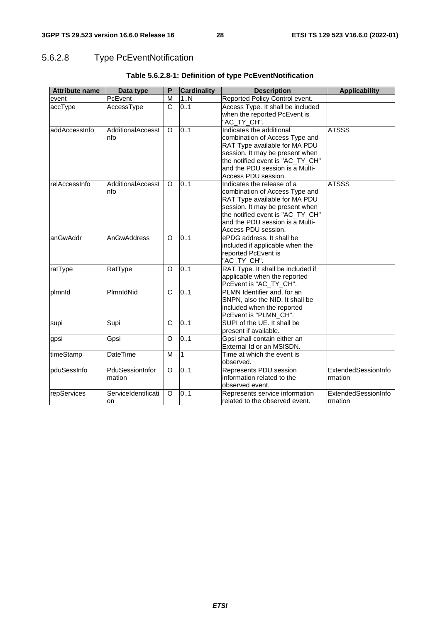# 5.6.2.8 Type PcEventNotification

| <b>Attribute name</b> | Data type                 | P                     | <b>Cardinality</b> | <b>Description</b>                                                                                                                                                                                                             | <b>Applicability</b>           |
|-----------------------|---------------------------|-----------------------|--------------------|--------------------------------------------------------------------------------------------------------------------------------------------------------------------------------------------------------------------------------|--------------------------------|
| event                 | PcEvent                   | M                     | 1N                 | Reported Policy Control event.                                                                                                                                                                                                 |                                |
| accType               | AccessType                | C                     | 0.1                | Access Type. It shall be included<br>when the reported PcEvent is<br>"AC_TY_CH".                                                                                                                                               |                                |
| addAccessInfo         | AdditionalAccessI<br>nfo  | O                     | 0.1                | Indicates the additional<br>combination of Access Type and<br>RAT Type available for MA PDU<br>session. It may be present when<br>the notified event is "AC_TY_CH"<br>and the PDU session is a Multi-<br>Access PDU session.   | <b>ATSSS</b>                   |
| relAccessInfo         | AdditionalAccessI<br>nfo  | O                     | 0.1                | Indicates the release of a<br>combination of Access Type and<br>RAT Type available for MA PDU<br>session. It may be present when<br>the notified event is "AC_TY_CH"<br>and the PDU session is a Multi-<br>Access PDU session. | <b>ATSSS</b>                   |
| anGwAddr              | AnGwAddress               | $\Omega$              | 0.1                | ePDG address. It shall be<br>included if applicable when the<br>reported PcEvent is<br>"AC_TY_CH".                                                                                                                             |                                |
| ratType               | RatType                   | $\Omega$              | 0.1                | RAT Type. It shall be included if<br>applicable when the reported<br>PcEvent is "AC_TY_CH".                                                                                                                                    |                                |
| plmnld                | PlmnldNid                 | C                     | 0.1                | PLMN Identifier and, for an<br>SNPN, also the NID. It shall be<br>included when the reported<br>PcEvent is "PLMN_CH".                                                                                                          |                                |
| supi                  | Supi                      | $\overline{\text{c}}$ | 0.1                | SUPI of the UE. It shall be<br>present if available.                                                                                                                                                                           |                                |
| gpsi                  | Gpsi                      | O                     | 0.1                | Gpsi shall contain either an<br>External Id or an MSISDN.                                                                                                                                                                      |                                |
| timeStamp             | <b>DateTime</b>           | M                     | $\mathbf{1}$       | Time at which the event is<br>observed.                                                                                                                                                                                        |                                |
| pduSessInfo           | PduSessionInfor<br>mation | $\Omega$              | 0.1                | Represents PDU session<br>information related to the<br>observed event.                                                                                                                                                        | ExtendedSessionInfo<br>rmation |
| repServices           | ServiceIdentificati<br>on | O                     | 0.1                | Represents service information<br>related to the observed event.                                                                                                                                                               | ExtendedSessionInfo<br>mation  |

### **Table 5.6.2.8-1: Definition of type PcEventNotification**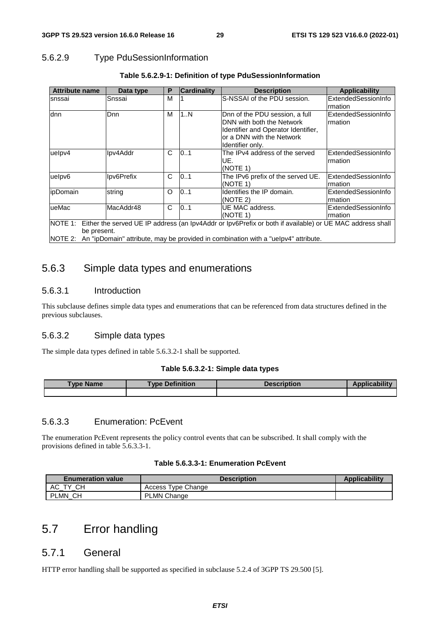## 5.6.2.9 Type PduSessionInformation

| <b>Attribute name</b> | Data type                                                                                                        | P | <b>Cardinality</b> | <b>Description</b>                                                                         | Applicability       |  |  |  |
|-----------------------|------------------------------------------------------------------------------------------------------------------|---|--------------------|--------------------------------------------------------------------------------------------|---------------------|--|--|--|
| snssai                | Snssai                                                                                                           | М |                    | S-NSSAI of the PDU session.                                                                | ExtendedSessionInfo |  |  |  |
|                       |                                                                                                                  |   |                    |                                                                                            | Irmation            |  |  |  |
| dnn                   | Dnn                                                                                                              | М | 1N                 | Dnn of the PDU session, a full                                                             | ExtendedSessionInfo |  |  |  |
|                       |                                                                                                                  |   |                    | DNN with both the Network                                                                  | Irmation            |  |  |  |
|                       |                                                                                                                  |   |                    | Identifier and Operator Identifier,                                                        |                     |  |  |  |
|                       |                                                                                                                  |   |                    | or a DNN with the Network                                                                  |                     |  |  |  |
|                       |                                                                                                                  |   |                    | Identifier only.                                                                           |                     |  |  |  |
| uelpv4                | Ipv4Addr                                                                                                         | C | 0.1                | The IPv4 address of the served                                                             | ExtendedSessionInfo |  |  |  |
|                       |                                                                                                                  |   |                    | UE.                                                                                        | rmation             |  |  |  |
|                       |                                                                                                                  |   |                    | (NOTE 1)                                                                                   |                     |  |  |  |
| uelpv6                | Ipv6Prefix                                                                                                       | C | 01                 | The IPv6 prefix of the served UE.                                                          | ExtendedSessionInfo |  |  |  |
|                       |                                                                                                                  |   |                    | (NOTE 1)                                                                                   | rmation             |  |  |  |
| ipDomain              | string                                                                                                           | O | 0.1                | Identifies the IP domain.                                                                  | ExtendedSessionInfo |  |  |  |
|                       |                                                                                                                  |   |                    | (NOTE 2)                                                                                   | Irmation            |  |  |  |
| ueMac                 | MacAddr48                                                                                                        | C | 0.1                | UE MAC address.                                                                            | ExtendedSessionInfo |  |  |  |
|                       |                                                                                                                  |   |                    | (NOTE 1)                                                                                   | Irmation            |  |  |  |
|                       | NOTE 1: Either the served UE IP address (an Ipv4Addr or Ipv6Prefix or both if available) or UE MAC address shall |   |                    |                                                                                            |                     |  |  |  |
| be present.           |                                                                                                                  |   |                    |                                                                                            |                     |  |  |  |
|                       |                                                                                                                  |   |                    | NOTE 2: An "ipDomain" attribute, may be provided in combination with a "uelpv4" attribute. |                     |  |  |  |

### **Table 5.6.2.9-1: Definition of type PduSessionInformation**

# 5.6.3 Simple data types and enumerations

### 5.6.3.1 Introduction

This subclause defines simple data types and enumerations that can be referenced from data structures defined in the previous subclauses.

#### 5.6.3.2 Simple data types

The simple data types defined in table 5.6.3.2-1 shall be supported.

#### **Table 5.6.3.2-1: Simple data types**

| vpe.<br><b>Name</b> | <b>Type Definition</b> | <b>Description</b> | - 5054 |
|---------------------|------------------------|--------------------|--------|
|                     |                        |                    |        |

### 5.6.3.3 Enumeration: PcEvent

The enumeration PcEvent represents the policy control events that can be subscribed. It shall comply with the provisions defined in table 5.6.3.3-1.

#### **Table 5.6.3.3-1: Enumeration PcEvent**

| <b>Enumeration value</b> | <b>Description</b> | <b>Applicability</b> |
|--------------------------|--------------------|----------------------|
| CН<br>АC<br>тv           | Access Type Change |                      |
| PLMN_CH                  | <b>PLMN Change</b> |                      |

# 5.7 Error handling

### 5.7.1 General

HTTP error handling shall be supported as specified in subclause 5.2.4 of 3GPP TS 29.500 [5].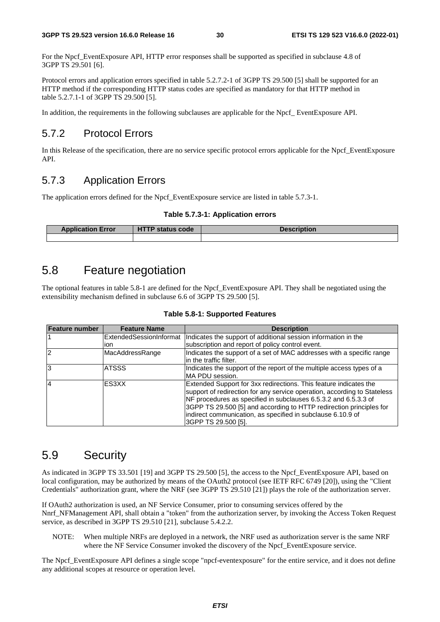For the Npcf\_EventExposure API, HTTP error responses shall be supported as specified in subclause 4.8 of 3GPP TS 29.501 [6].

Protocol errors and application errors specified in table 5.2.7.2-1 of 3GPP TS 29.500 [5] shall be supported for an HTTP method if the corresponding HTTP status codes are specified as mandatory for that HTTP method in table 5.2.7.1-1 of 3GPP TS 29.500 [5].

In addition, the requirements in the following subclauses are applicable for the Npcf EventExposure API.

# 5.7.2 Protocol Errors

In this Release of the specification, there are no service specific protocol errors applicable for the Npcf\_EventExposure API.

# 5.7.3 Application Errors

The application errors defined for the Npcf. EventExposure service are listed in table 5.7.3-1.

#### **Table 5.7.3-1: Application errors**

| <b>Application Error</b> | <b>HTTP status code</b> | <b>Description</b> |  |  |
|--------------------------|-------------------------|--------------------|--|--|
|                          |                         |                    |  |  |

# 5.8 Feature negotiation

The optional features in table 5.8-1 are defined for the Npcf\_EventExposure API. They shall be negotiated using the extensibility mechanism defined in subclause 6.6 of 3GPP TS 29.500 [5].

|  |  | Table 5.8-1: Supported Features |  |
|--|--|---------------------------------|--|
|--|--|---------------------------------|--|

| <b>Feature number</b> | <b>Feature Name</b> | <b>Description</b>                                                                      |
|-----------------------|---------------------|-----------------------------------------------------------------------------------------|
|                       |                     | ExtendedSessionInformat  Indicates the support of additional session information in the |
|                       | ion                 | subscription and report of policy control event.                                        |
| $\overline{2}$        | MacAddressRange     | Indicates the support of a set of MAC addresses with a specific range                   |
|                       |                     | lin the traffic filter.                                                                 |
| 3                     | <b>ATSSS</b>        | Indicates the support of the report of the multiple access types of a                   |
|                       |                     | <b>IMA PDU session.</b>                                                                 |
| $\overline{4}$        | ES3XX               | Extended Support for 3xx redirections. This feature indicates the                       |
|                       |                     | support of redirection for any service operation, according to Stateless                |
|                       |                     | NF procedures as specified in subclauses 6.5.3.2 and 6.5.3.3 of                         |
|                       |                     | 3GPP TS 29.500 [5] and according to HTTP redirection principles for                     |
|                       |                     | indirect communication, as specified in subclause 6.10.9 of                             |
|                       |                     | 3GPP TS 29.500 [5].                                                                     |

# 5.9 Security

As indicated in 3GPP TS 33.501 [19] and 3GPP TS 29.500 [5], the access to the Npcf\_EventExposure API, based on local configuration, may be authorized by means of the OAuth2 protocol (see IETF RFC 6749 [20]), using the "Client Credentials" authorization grant, where the NRF (see 3GPP TS 29.510 [21]) plays the role of the authorization server.

If OAuth2 authorization is used, an NF Service Consumer, prior to consuming services offered by the Nnrf\_NFManagement API, shall obtain a "token" from the authorization server, by invoking the Access Token Request service, as described in 3GPP TS 29.510 [21], subclause 5.4.2.2.

NOTE: When multiple NRFs are deployed in a network, the NRF used as authorization server is the same NRF where the NF Service Consumer invoked the discovery of the Npcf\_EventExposure service.

The Npcf\_EventExposure API defines a single scope "npcf-eventexposure" for the entire service, and it does not define any additional scopes at resource or operation level.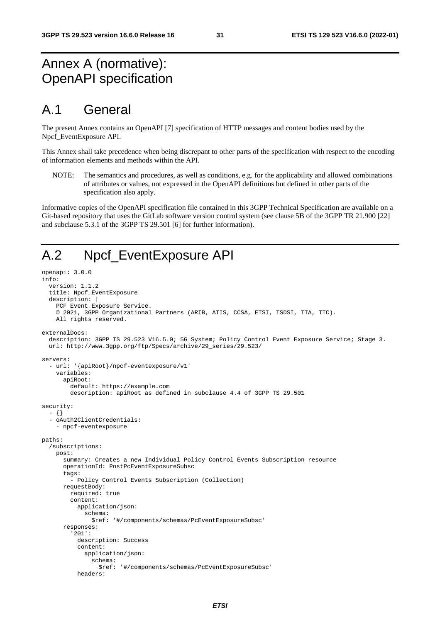# Annex A (normative): OpenAPI specification

# A.1 General

The present Annex contains an OpenAPI [7] specification of HTTP messages and content bodies used by the Npcf\_EventExposure API.

This Annex shall take precedence when being discrepant to other parts of the specification with respect to the encoding of information elements and methods within the API.

NOTE: The semantics and procedures, as well as conditions, e.g. for the applicability and allowed combinations of attributes or values, not expressed in the OpenAPI definitions but defined in other parts of the specification also apply.

Informative copies of the OpenAPI specification file contained in this 3GPP Technical Specification are available on a Git-based repository that uses the GitLab software version control system (see clause 5B of the 3GPP TR 21.900 [22] and subclause 5.3.1 of the 3GPP TS 29.501 [6] for further information).

# A.2 Npcf\_EventExposure API

```
openapi: 3.0.0 
info: 
   version: 1.1.2 
   title: Npcf_EventExposure 
   description: | 
     PCF Event Exposure Service. 
     © 2021, 3GPP Organizational Partners (ARIB, ATIS, CCSA, ETSI, TSDSI, TTA, TTC). 
     All rights reserved. 
externalDocs: 
   description: 3GPP TS 29.523 V16.5.0; 5G System; Policy Control Event Exposure Service; Stage 3. 
   url: http://www.3gpp.org/ftp/Specs/archive/29_series/29.523/ 
servers: 
   - url: '{apiRoot}/npcf-eventexposure/v1' 
     variables: 
       apiRoot: 
         default: https://example.com 
         description: apiRoot as defined in subclause 4.4 of 3GPP TS 29.501 
security: 
   - {} 
   - oAuth2ClientCredentials: 
     - npcf-eventexposure 
paths: 
   /subscriptions: 
     post: 
       summary: Creates a new Individual Policy Control Events Subscription resource 
       operationId: PostPcEventExposureSubsc 
       tags: 
         - Policy Control Events Subscription (Collection) 
       requestBody: 
         required: true 
         content: 
           application/json: 
              schema: 
               $ref: '#/components/schemas/PcEventExposureSubsc' 
       responses: 
          '201': 
           description: Success 
            content: 
              application/json: 
                schema: 
                  $ref: '#/components/schemas/PcEventExposureSubsc' 
           headers:
```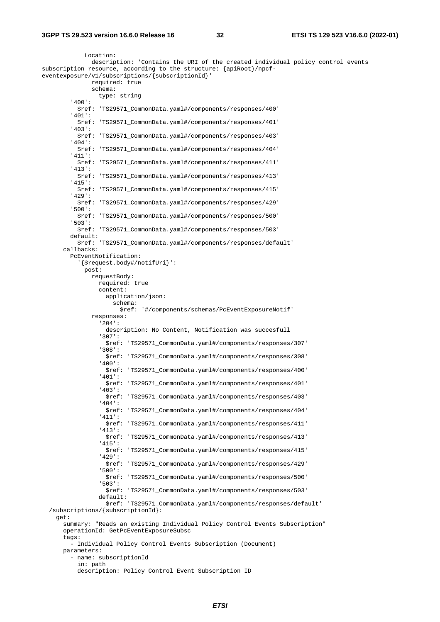Location: description: 'Contains the URI of the created individual policy control events subscription resource, according to the structure: {apiRoot}/npcfeventexposure/v1/subscriptions/{subscriptionId}' required: true schema: type: string '400': \$ref: 'TS29571\_CommonData.yaml#/components/responses/400' '401': \$ref: 'TS29571\_CommonData.yaml#/components/responses/401' '403': \$ref: 'TS29571\_CommonData.yaml#/components/responses/403' '404': \$ref: 'TS29571\_CommonData.yaml#/components/responses/404' '411': \$ref: 'TS29571\_CommonData.yaml#/components/responses/411' '413': \$ref: 'TS29571\_CommonData.yaml#/components/responses/413' '415': \$ref: 'TS29571\_CommonData.yaml#/components/responses/415' '429': \$ref: 'TS29571\_CommonData.yaml#/components/responses/429' '500': \$ref: 'TS29571\_CommonData.yaml#/components/responses/500' '503': \$ref: 'TS29571\_CommonData.yaml#/components/responses/503' default: \$ref: 'TS29571\_CommonData.yaml#/components/responses/default' callbacks: PcEventNotification: '{\$request.body#/notifUri}': post: requestBody: required: true content: application/json: schema: \$ref: '#/components/schemas/PcEventExposureNotif' responses: '204': description: No Content, Notification was succesfull '307': \$ref: 'TS29571\_CommonData.yaml#/components/responses/307' '308': \$ref: 'TS29571\_CommonData.yaml#/components/responses/308' '400': \$ref: 'TS29571\_CommonData.yaml#/components/responses/400' '401': \$ref: 'TS29571\_CommonData.yaml#/components/responses/401' '403': \$ref: 'TS29571\_CommonData.yaml#/components/responses/403' '404': \$ref: 'TS29571\_CommonData.yaml#/components/responses/404' '411': \$ref: 'TS29571\_CommonData.yaml#/components/responses/411' '413': \$ref: 'TS29571\_CommonData.yaml#/components/responses/413' '415': \$ref: 'TS29571\_CommonData.yaml#/components/responses/415' '429': \$ref: 'TS29571\_CommonData.yaml#/components/responses/429' '500': \$ref: 'TS29571\_CommonData.yaml#/components/responses/500' '503': \$ref: 'TS29571\_CommonData.yaml#/components/responses/503' default: \$ref: 'TS29571\_CommonData.yaml#/components/responses/default' /subscriptions/{subscriptionId}: get: summary: "Reads an existing Individual Policy Control Events Subscription" operationId: GetPcEventExposureSubsc tags: - Individual Policy Control Events Subscription (Document) parameters: - name: subscriptionId in: path description: Policy Control Event Subscription ID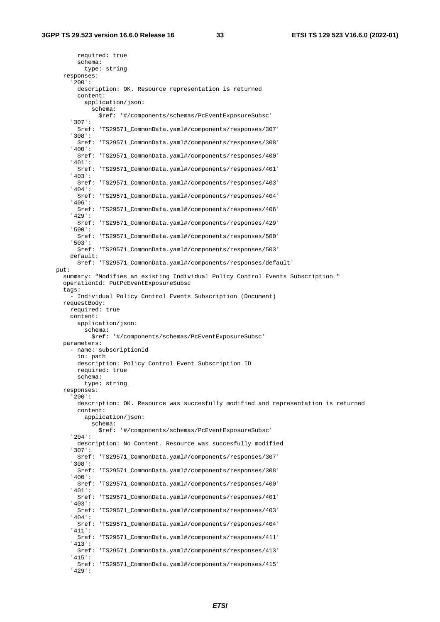required: true schema: type: string responses: '200': description: OK. Resource representation is returned content: application/json: schema: \$ref: '#/components/schemas/PcEventExposureSubsc' '307': \$ref: 'TS29571\_CommonData.yaml#/components/responses/307' '308': \$ref: 'TS29571\_CommonData.yaml#/components/responses/308' '400': \$ref: 'TS29571\_CommonData.yaml#/components/responses/400' '401': \$ref: 'TS29571\_CommonData.yaml#/components/responses/401' '403': \$ref: 'TS29571\_CommonData.yaml#/components/responses/403' '404': \$ref: 'TS29571\_CommonData.yaml#/components/responses/404' '406': \$ref: 'TS29571\_CommonData.yaml#/components/responses/406' '429': \$ref: 'TS29571\_CommonData.yaml#/components/responses/429' '500': \$ref: 'TS29571\_CommonData.yaml#/components/responses/500' '503': \$ref: 'TS29571\_CommonData.yaml#/components/responses/503' default: \$ref: 'TS29571\_CommonData.yaml#/components/responses/default' put: summary: "Modifies an existing Individual Policy Control Events Subscription " operationId: PutPcEventExposureSubsc tags: - Individual Policy Control Events Subscription (Document) requestBody: required: true content: application/json: schema: \$ref: '#/components/schemas/PcEventExposureSubsc' parameters: - name: subscriptionId in: path description: Policy Control Event Subscription ID required: true schema: type: string responses: '200': description: OK. Resource was succesfully modified and representation is returned content: application/json: schema: \$ref: '#/components/schemas/PcEventExposureSubsc' '204': description: No Content. Resource was succesfully modified '307': \$ref: 'TS29571\_CommonData.yaml#/components/responses/307' '308': \$ref: 'TS29571\_CommonData.yaml#/components/responses/308' '400': \$ref: 'TS29571\_CommonData.yaml#/components/responses/400' '401': \$ref: 'TS29571\_CommonData.yaml#/components/responses/401' '403': \$ref: 'TS29571\_CommonData.yaml#/components/responses/403' '404': \$ref: 'TS29571\_CommonData.yaml#/components/responses/404' '411': \$ref: 'TS29571\_CommonData.yaml#/components/responses/411' '413': \$ref: 'TS29571\_CommonData.yaml#/components/responses/413' '415': \$ref: 'TS29571\_CommonData.yaml#/components/responses/415' '429':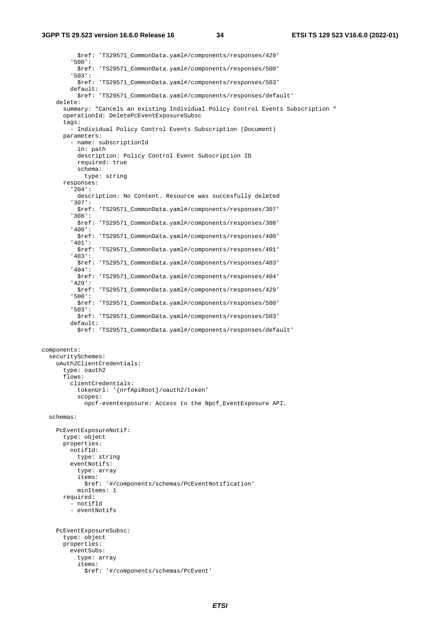#### **3GPP TS 29.523 version 16.6.0 Release 16 34 ETSI TS 129 523 V16.6.0 (2022-01)**

 \$ref: 'TS29571\_CommonData.yaml#/components/responses/429' '500': \$ref: 'TS29571\_CommonData.yaml#/components/responses/500' '503': \$ref: 'TS29571\_CommonData.yaml#/components/responses/503' default: \$ref: 'TS29571\_CommonData.yaml#/components/responses/default' delete: summary: "Cancels an existing Individual Policy Control Events Subscription " operationId: DeletePcEventExposureSubsc tags: - Individual Policy Control Events Subscription (Document) parameters: - name: subscriptionId in: path description: Policy Control Event Subscription ID required: true schema: type: string responses: '204': description: No Content. Resource was succesfully deleted '307': \$ref: 'TS29571\_CommonData.yaml#/components/responses/307' '308': \$ref: 'TS29571\_CommonData.yaml#/components/responses/308' '400': \$ref: 'TS29571\_CommonData.yaml#/components/responses/400' '401': \$ref: 'TS29571\_CommonData.yaml#/components/responses/401' '403': \$ref: 'TS29571\_CommonData.yaml#/components/responses/403' '404': \$ref: 'TS29571\_CommonData.yaml#/components/responses/404' '429': \$ref: 'TS29571\_CommonData.yaml#/components/responses/429' '500': \$ref: 'TS29571\_CommonData.yaml#/components/responses/500' '503': \$ref: 'TS29571\_CommonData.yaml#/components/responses/503' default: \$ref: 'TS29571\_CommonData.yaml#/components/responses/default' components: securitySchemes: oAuth2ClientCredentials: type: oauth2 flows: clientCredentials: tokenUrl: '{nrfApiRoot}/oauth2/token' scopes: npcf-eventexposure: Access to the Npcf\_EventExposure API. schemas: PcEventExposureNotif: type: object properties: notifId: type: string eventNotifs: type: array items: \$ref: '#/components/schemas/PcEventNotification' minItems: 1 required: - notifId - eventNotifs PcEventExposureSubsc: type: object properties: eventSubs: type: array items: \$ref: '#/components/schemas/PcEvent'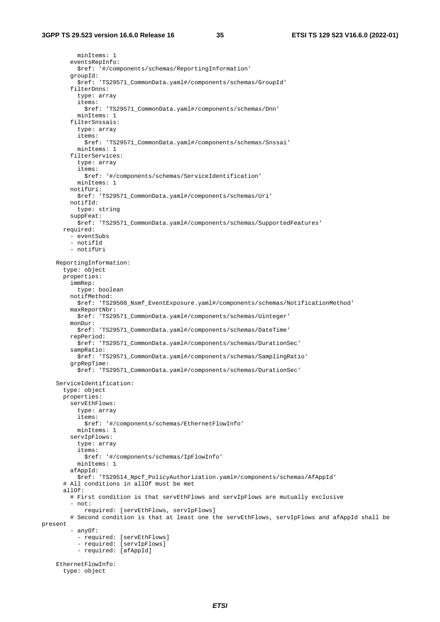minItems: 1 eventsRepInfo: \$ref: '#/components/schemas/ReportingInformation' groupId: \$ref: 'TS29571\_CommonData.yaml#/components/schemas/GroupId' filterDnns: type: array items: \$ref: 'TS29571\_CommonData.yaml#/components/schemas/Dnn' minItems: 1 filterSnssais: type: array items: \$ref: 'TS29571\_CommonData.yaml#/components/schemas/Snssai' minItems: 1 filterServices: type: array items: \$ref: '#/components/schemas/ServiceIdentification' minItems: 1 notifUri: \$ref: 'TS29571\_CommonData.yaml#/components/schemas/Uri' notifId: type: string suppFeat: \$ref: 'TS29571\_CommonData.yaml#/components/schemas/SupportedFeatures' required: - eventSubs - notifId - notifUri ReportingInformation: type: object properties: immRep: type: boolean notifMethod: \$ref: 'TS29508\_Nsmf\_EventExposure.yaml#/components/schemas/NotificationMethod' maxReportNbr: \$ref: 'TS29571\_CommonData.yaml#/components/schemas/Uinteger' monDur: \$ref: 'TS29571\_CommonData.yaml#/components/schemas/DateTime' repPeriod: \$ref: 'TS29571\_CommonData.yaml#/components/schemas/DurationSec' sampRatio: \$ref: 'TS29571\_CommonData.yaml#/components/schemas/SamplingRatio' grpRepTime: \$ref: 'TS29571\_CommonData.yaml#/components/schemas/DurationSec' ServiceIdentification: type: object properties: servEthFlows: type: array items: \$ref: '#/components/schemas/EthernetFlowInfo' min<sub>Ttems</sub>: 1 servIpFlows: type: array items: \$ref: '#/components/schemas/IpFlowInfo' minItems: 1 afAppId: \$ref: 'TS29514\_Npcf\_PolicyAuthorization.yaml#/components/schemas/AfAppId' # All conditions in allOf must be met  $a110f:$  # First condition is that servEthFlows and servIpFlows are mutually exclusive - not: required: [servEthFlows, servIpFlows] # Second condition is that at least one the servEthFlows, servIpFlows and afAppId shall be present - anyOf: - required: [servEthFlows] - required: [servIpFlows] - required: [afAppId] EthernetFlowInfo: type: object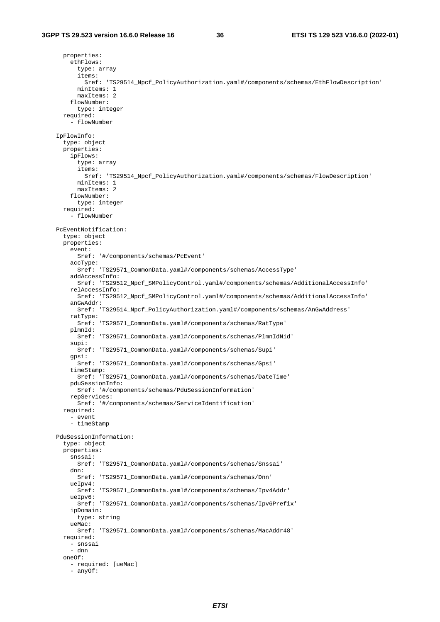properties: ethFlows: type: array items: \$ref: 'TS29514\_Npcf\_PolicyAuthorization.yaml#/components/schemas/EthFlowDescription' minItems: 1 maxItems: 2 flowNumber: type: integer required: - flowNumber IpFlowInfo: type: object properties: ipFlows: type: array items: \$ref: 'TS29514\_Npcf\_PolicyAuthorization.yaml#/components/schemas/FlowDescription' minItems: 1 maxItems: 2 flowNumber: type: integer required: - flowNumber PcEventNotification: type: object properties: event: \$ref: '#/components/schemas/PcEvent' accType: \$ref: 'TS29571\_CommonData.yaml#/components/schemas/AccessType' addAccessInfo: \$ref: 'TS29512\_Npcf\_SMPolicyControl.yaml#/components/schemas/AdditionalAccessInfo' relAccessInfo: \$ref: 'TS29512\_Npcf\_SMPolicyControl.yaml#/components/schemas/AdditionalAccessInfo' anGwAddr: \$ref: 'TS29514\_Npcf\_PolicyAuthorization.yaml#/components/schemas/AnGwAddress' ratType: \$ref: 'TS29571\_CommonData.yaml#/components/schemas/RatType' plmnId: \$ref: 'TS29571\_CommonData.yaml#/components/schemas/PlmnIdNid' supi: \$ref: 'TS29571\_CommonData.yaml#/components/schemas/Supi' gpsi: \$ref: 'TS29571\_CommonData.yaml#/components/schemas/Gpsi' timeStamp: \$ref: 'TS29571\_CommonData.yaml#/components/schemas/DateTime' pduSessionInfo: \$ref: '#/components/schemas/PduSessionInformation' repServices: \$ref: '#/components/schemas/ServiceIdentification' required: - event - timeStamp PduSessionInformation: type: object properties: snssai: \$ref: 'TS29571\_CommonData.yaml#/components/schemas/Snssai' dnn: \$ref: 'TS29571\_CommonData.yaml#/components/schemas/Dnn' ueIpv4: \$ref: 'TS29571\_CommonData.yaml#/components/schemas/Ipv4Addr' ueIpv6: \$ref: 'TS29571\_CommonData.yaml#/components/schemas/Ipv6Prefix' ipDomain: type: string ueMac: \$ref: 'TS29571\_CommonData.yaml#/components/schemas/MacAddr48' required: - snssai - dnn oneOf: - required: [ueMac] - anyOf: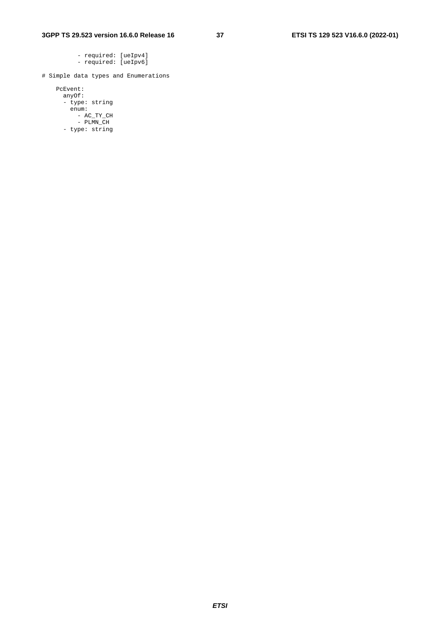- required: [ueIpv4] - required: [ueIpv6]

# Simple data types and Enumerations

 PcEvent: anyOf: - type: string enum: - AC\_TY\_CH - PLMN\_CH

- type: string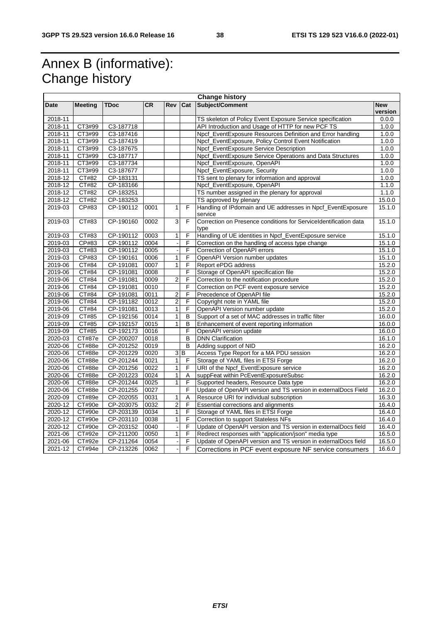# Annex B (informative): Change history

| <b>Change history</b> |                |               |           |                |                |                                                                          |                       |
|-----------------------|----------------|---------------|-----------|----------------|----------------|--------------------------------------------------------------------------|-----------------------|
| Date                  | <b>Meeting</b> | <b>TDoc</b>   | <b>CR</b> | Rev            | Cat            | Subject/Comment                                                          | <b>New</b><br>version |
| $2018 - 11$           |                |               |           |                |                | TS skeleton of Policy Event Exposure Service specification               | 0.0.0                 |
| 2018-11               | CT3#99         | C3-187718     |           |                |                | API Introduction and Usage of HTTP for new PCF TS                        |                       |
| 2018-11               | CT3#99         | C3-187416     |           |                |                | Npcf_EventExposure Resources Definition and Error handling               |                       |
| 2018-11               | CT3#99         | $C3 - 187419$ |           |                |                | Npcf_EventExposure, Policy Control Event Notification                    | 1.0.0                 |
| 2018-11               | CT3#99         | C3-187675     |           |                |                | Npcf_EventExposure Service Description                                   | 1.0.0                 |
| 2018-11               | CT3#99         | C3-187717     |           |                |                | Npcf_EventExposure Service Operations and Data Structures                | 1.0.0                 |
| 2018-11               | CT3#99         | C3-187734     |           |                |                | Npcf_EventExposure, OpenAPI                                              | 1.0.0                 |
| $2018 - 11$           | CT3#99         | C3-187677     |           |                |                | Npcf_EventExposure, Security                                             | 1.0.0                 |
| 2018-12               | CT#82          | CP-183131     |           |                |                | TS sent to plenary for information and approval                          | 1.0.0                 |
| 2018-12               | CT#82          | CP-183166     |           |                |                | Npcf_EventExposure, OpenAPI                                              | 1.1.0                 |
| 2018-12               | CT#82          | CP-183251     |           |                |                | TS number assigned in the plenary for approval                           | 1.1.0                 |
| 2018-12               | CT#82          | CP-183253     |           |                |                | TS approved by plenary                                                   | 15.0.0                |
| 2019-03               | CP#83          | CP-190112     | 0001      | 1              | F              | Handling of IPdomain and UE addresses in Npcf_EventExposure<br>service   | 15.1.0                |
| 2019-03               | CT#83          | CP-190160     | 0002      | 3              | $\overline{F}$ | Correction on Presence conditions for ServiceIdentification data<br>type | 15.1.0                |
| $2019 - 03$           | CT#83          | CP-190112     | 0003      | 1              | F              | Handling of UE identities in Npcf_EventExposure service                  | 15.1.0                |
| 2019-03               | CP#83          | CP-190112     | 0004      |                | F              | Correction on the handling of access type change                         | 15.1.0                |
| 2019-03               | CT#83          | CP-190112     | 0005      | $\blacksquare$ | F              | Correction of OpenAPI errors                                             | 15.1.0                |
| 2019-03               | CP#83          | CP-190161     | 0006      | 1              | F              | OpenAPI Version number updates                                           | 15.1.0                |
| 2019-06               | CT#84          | CP-191081     | 0007      | $\overline{1}$ | F              | Report ePDG address                                                      | 15.2.0                |
| 2019-06               | CT#84          | CP-191081     | 0008      |                | F              | Storage of OpenAPI specification file                                    | 15.2.0                |
| 2019-06               | CT#84          | CP-191081     | 0009      | $\overline{c}$ | F              | Correction to the notification procedure                                 | 15.2.0                |
| 2019-06               | CT#84          | CP-191081     | 0010      |                | F              | Correction on PCF event exposure service                                 | 15.2.0                |
| 2019-06               | CT#84          | CP-191081     | 0011      | $\overline{2}$ | F              | Precedence of OpenAPI file                                               | 15.2.0                |
| 2019-06               | CT#84          | CP-191182     | 0012      | $\overline{2}$ | F              | Copyright note in YAML file                                              | 15.2.0                |
| 2019-06               | CT#84          | CP-191081     | 0013      | $\mathbf{1}$   | F              | OpenAPI Version number update                                            | 15.2.0                |
| 2019-09               | CT#85          | CP-192156     | 0014      | $\mathbf{1}$   | B              | Support of a set of MAC addresses in traffic filter                      | 16.0.0                |
| 2019-09               | CT#85          | CP-192157     | 0015      | $\overline{1}$ | B              | Enhancement of event reporting information                               | 16.0.0                |
| 2019-09               | CT#85          | CP-192173     | 0016      |                | F              | OpenAPI version update                                                   | 16.0.0                |
| 2020-03               | <b>CT#87e</b>  | CP-200207     | 0018      |                | B              | <b>DNN Clarification</b>                                                 | 16.1.0                |
| 2020-06               | CT#88e         | CP-201252     | 0019      |                | B              | Adding support of NID                                                    | 16.2.0                |
| 2020-06               | CT#88e         | CP-201229     | 0020      |                | $\frac{3}{5}$  | Access Type Report for a MA PDU session                                  | 16.2.0                |
| 2020-06               | CT#88e         | CP-201244     | 0021      | $\overline{1}$ | F              | Storage of YAML files in ETSI Forge                                      | 16.2.0                |
| 2020-06               | CT#88e         | CP-201256     | 0022      | $\mathbf{1}$   | F              | URI of the Npcf_EventExposure service                                    | 16.2.0                |
| 2020-06               | CT#88e         | CP-201223     | 0024      | $\mathbf{1}$   | Α              | suppFeat within PcEventExposureSubsc                                     | 16.2.0                |
| 2020-06               | CT#88e         | CP-201244     | 0025      | $\mathbf{1}$   | F              | Supported headers, Resource Data type                                    | 16.2.0                |
| 2020-06               | CT#88e         | CP-201255     | 0027      |                | F              | Update of OpenAPI version and TS version in externalDocs Field           | 16.2.0                |
| 2020-09               | CT#89e         | CP-202055     | 0031      | $\mathbf{1}$   | Α              | Resource URI for individual subscription                                 | 16.3.0                |
| 2020-12               | CT#90e         | CP-203075     | 0032      | $\overline{2}$ | F              | Essential corrections and alignments                                     | 16.4.0                |
| 2020-12               | CT#90e         | CP-203139     | 0034      | $\mathbf{1}$   | F              | Storage of YAML files in ETSI Forge                                      | 16.4.0                |
| 2020-12               | CT#90e         | CP-203110     | 0038      | $\mathbf{1}$   | F              | Correction to support Stateless NFs                                      | 16.4.0                |
| 2020-12               | CT#90e         | CP-203152     | 0040      |                | F              | Update of OpenAPI version and TS version in externalDocs field           | 16.4.0                |
| 2021-06               | CT#92e         | CP-211200     | 0050      | 1              | F              | Redirect responses with "application/json" media type                    | 16.5.0                |
| 2021-06               | CT#92e         | CP-211264     | 0054      |                | F              | Update of OpenAPI version and TS version in externalDocs field           | 16.5.0                |
| 2021-12               | CT#94e         | CP-213226     | 0062      |                | F              | Corrections in PCF event exposure NF service consumers                   | 16.6.0                |